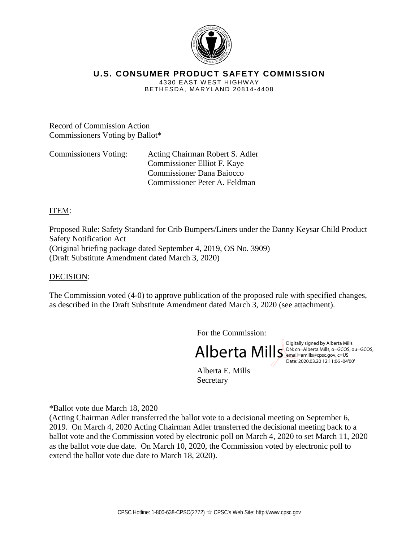

# **U.S. CONSUMER PRODUCT SAFETY COMMISSION**

4330 EAST WEST HIGHW AY BETHESDA, MARYLAND 20814-4408

Record of Commission Action Commissioners Voting by Ballot\*

Commissioners Voting: Acting Chairman Robert S. Adler Commissioner Elliot F. Kaye Commissioner Dana Baiocco Commissioner Peter A. Feldman

# ITEM:

Proposed Rule: Safety Standard for Crib Bumpers/Liners under the Danny Keysar Child Product Safety Notification Act (Original briefing package dated September 4, 2019, OS No. 3909) (Draft Substitute Amendment dated March 3, 2020)

# DECISION:

The Commission voted (4-0) to approve publication of the proposed rule with specified changes, as described in the Draft Substitute Amendment dated March 3, 2020 (see attachment).

For the Commission:

Alberta Mills Digitally signed by Alberta Mills (property and the Mills (property and the Mills (property and the Mills (property) and the Mills (property) and the Mills (property) and the Mills (property) and the Mills (p

DN: cn=Alberta Mills, o=GCOS, ou=GCOS, email=amills@cpsc.gov, c=US Date: 2020.03.20 12:11:06 -04'00'

Alberta E. Mills Secretary

\*Ballot vote due March 18, 2020

(Acting Chairman Adler transferred the ballot vote to a decisional meeting on September 6, 2019. On March 4, 2020 Acting Chairman Adler transferred the decisional meeting back to a ballot vote and the Commission voted by electronic poll on March 4, 2020 to set March 11, 2020 as the ballot vote due date. On March 10, 2020, the Commission voted by electronic poll to extend the ballot vote due date to March 18, 2020).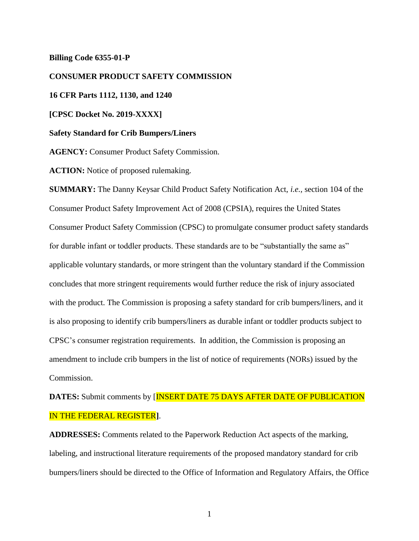#### **Billing Code 6355-01-P**

**CONSUMER PRODUCT SAFETY COMMISSION 16 CFR Parts 1112, 1130, and 1240 [CPSC Docket No. 2019-XXXX] Safety Standard for Crib Bumpers/Liners AGENCY:** Consumer Product Safety Commission. **ACTION:** Notice of proposed rulemaking. **SUMMARY:** The Danny Keysar Child Product Safety Notification Act, *i.e.,* section 104 of the Consumer Product Safety Improvement Act of 2008 (CPSIA), requires the United States

Consumer Product Safety Commission (CPSC) to promulgate consumer product safety standards for durable infant or toddler products. These standards are to be "substantially the same as" applicable voluntary standards, or more stringent than the voluntary standard if the Commission concludes that more stringent requirements would further reduce the risk of injury associated with the product. The Commission is proposing a safety standard for crib bumpers/liners, and it is also proposing to identify crib bumpers/liners as durable infant or toddler products subject to CPSC's consumer registration requirements. In addition, the Commission is proposing an amendment to include crib bumpers in the list of notice of requirements (NORs) issued by the Commission.

# **DATES:** Submit comments by [INSERT DATE 75 DAYS AFTER DATE OF PUBLICATION IN THE FEDERAL REGISTER**]**.

**ADDRESSES:** Comments related to the Paperwork Reduction Act aspects of the marking, labeling, and instructional literature requirements of the proposed mandatory standard for crib bumpers/liners should be directed to the Office of Information and Regulatory Affairs, the Office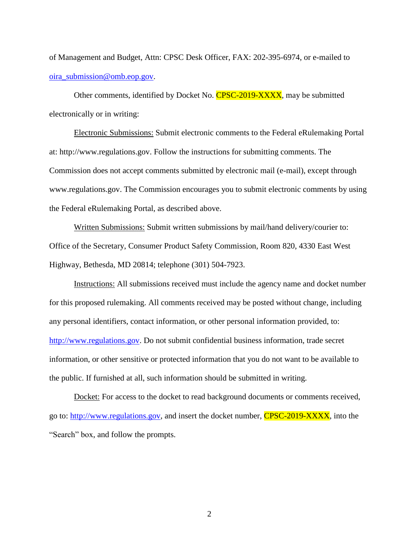of Management and Budget, Attn: CPSC Desk Officer, FAX: 202-395-6974, or e-mailed to [oira\\_submission@omb.eop.gov.](mailto:oira_submission@omb.eop.gov)

Other comments, identified by Docket No. **CPSC-2019-XXXX**, may be submitted electronically or in writing:

Electronic Submissions: Submit electronic comments to the Federal eRulemaking Portal at: http://www.regulations.gov. Follow the instructions for submitting comments. The Commission does not accept comments submitted by electronic mail (e-mail), except through www.regulations.gov. The Commission encourages you to submit electronic comments by using the Federal eRulemaking Portal, as described above.

Written Submissions: Submit written submissions by mail/hand delivery/courier to: Office of the Secretary, Consumer Product Safety Commission, Room 820, 4330 East West Highway, Bethesda, MD 20814; telephone (301) 504-7923.

Instructions: All submissions received must include the agency name and docket number for this proposed rulemaking. All comments received may be posted without change, including any personal identifiers, contact information, or other personal information provided, to: [http://www.regulations.gov.](http://www.regulations.gov/) Do not submit confidential business information, trade secret information, or other sensitive or protected information that you do not want to be available to the public. If furnished at all, such information should be submitted in writing.

Docket: For access to the docket to read background documents or comments received, go to: [http://www.regulations.gov,](http://www.regulations.gov/) and insert the docket number, CPSC-2019-XXXX, into the "Search" box, and follow the prompts.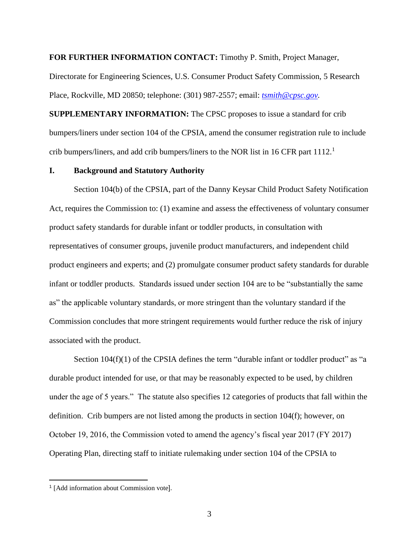**FOR FURTHER INFORMATION CONTACT:** Timothy P. Smith, Project Manager,

Directorate for Engineering Sciences, U.S. Consumer Product Safety Commission, 5 Research Place, Rockville, MD 20850; telephone: (301) 987-2557; email: *[tsmith@cpsc.gov.](mailto:tsmith@cpsc.gov)*

**SUPPLEMENTARY INFORMATION:** The CPSC proposes to issue a standard for crib bumpers/liners under section 104 of the CPSIA, amend the consumer registration rule to include crib bumpers/liners, and add crib bumpers/liners to the NOR list in 16 CFR part 1112.<sup>1</sup>

#### **I. Background and Statutory Authority**

Section 104(b) of the CPSIA, part of the Danny Keysar Child Product Safety Notification Act, requires the Commission to: (1) examine and assess the effectiveness of voluntary consumer product safety standards for durable infant or toddler products, in consultation with representatives of consumer groups, juvenile product manufacturers, and independent child product engineers and experts; and (2) promulgate consumer product safety standards for durable infant or toddler products. Standards issued under section 104 are to be "substantially the same as" the applicable voluntary standards, or more stringent than the voluntary standard if the Commission concludes that more stringent requirements would further reduce the risk of injury associated with the product.

Section  $104(f)(1)$  of the CPSIA defines the term "durable infant or toddler product" as "a durable product intended for use, or that may be reasonably expected to be used, by children under the age of 5 years." The statute also specifies 12 categories of products that fall within the definition. Crib bumpers are not listed among the products in section 104(f); however, on October 19, 2016, the Commission voted to amend the agency's fiscal year 2017 (FY 2017) Operating Plan, directing staff to initiate rulemaking under section 104 of the CPSIA to

<sup>1</sup> [Add information about Commission vote].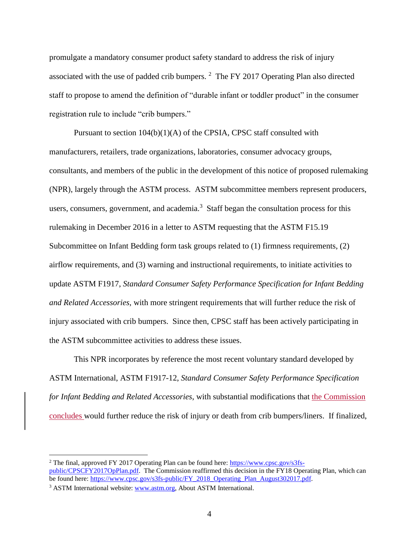promulgate a mandatory consumer product safety standard to address the risk of injury associated with the use of padded crib bumpers.  $2$  The FY 2017 Operating Plan also directed staff to propose to amend the definition of "durable infant or toddler product" in the consumer registration rule to include "crib bumpers."

Pursuant to section 104(b)(1)(A) of the CPSIA, CPSC staff consulted with manufacturers, retailers, trade organizations, laboratories, consumer advocacy groups, consultants, and members of the public in the development of this notice of proposed rulemaking (NPR), largely through the ASTM process. ASTM subcommittee members represent producers, users, consumers, government, and academia.<sup>3</sup> Staff began the consultation process for this rulemaking in December 2016 in a letter to ASTM requesting that the ASTM F15.19 Subcommittee on Infant Bedding form task groups related to (1) firmness requirements, (2) airflow requirements, and (3) warning and instructional requirements, to initiate activities to update ASTM F1917, *Standard Consumer Safety Performance Specification for Infant Bedding and Related Accessories*, with more stringent requirements that will further reduce the risk of injury associated with crib bumpers. Since then, CPSC staff has been actively participating in the ASTM subcommittee activities to address these issues.

This NPR incorporates by reference the most recent voluntary standard developed by ASTM International, ASTM F1917-12, *Standard Consumer Safety Performance Specification for Infant Bedding and Related Accessories*, with substantial modifications that the Commission concludes would further reduce the risk of injury or death from crib bumpers/liners. If finalized,

<sup>&</sup>lt;sup>2</sup> The final, approved FY 2017 Operating Plan can be found here: [https://www.cpsc.gov/s3fs](https://www.cpsc.gov/s3fs-public/CPSCFY2017OpPlan.pdf)[public/CPSCFY2017OpPlan.pdf.](https://www.cpsc.gov/s3fs-public/CPSCFY2017OpPlan.pdf) The Commission reaffirmed this decision in the FY18 Operating Plan, which can be found here: [https://www.cpsc.gov/s3fs-public/FY\\_2018\\_Operating\\_Plan\\_August302017.pdf.](https://www.cpsc.gov/s3fs-public/FY_2018_Operating_Plan_August302017.pdf)

<sup>&</sup>lt;sup>3</sup> ASTM International website: [www.astm.org, A](http://www.astm.org/)bout ASTM International.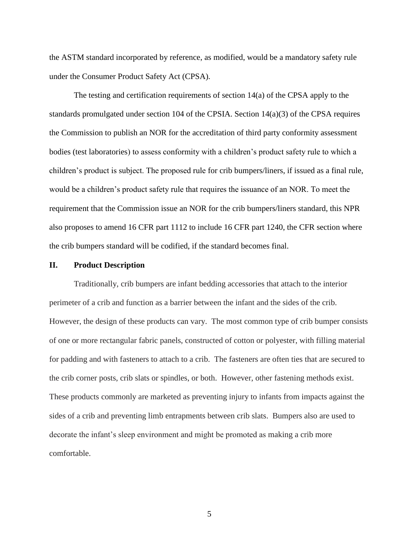the ASTM standard incorporated by reference, as modified, would be a mandatory safety rule under the Consumer Product Safety Act (CPSA).

The testing and certification requirements of section 14(a) of the CPSA apply to the standards promulgated under section 104 of the CPSIA. Section 14(a)(3) of the CPSA requires the Commission to publish an NOR for the accreditation of third party conformity assessment bodies (test laboratories) to assess conformity with a children's product safety rule to which a children's product is subject. The proposed rule for crib bumpers/liners, if issued as a final rule, would be a children's product safety rule that requires the issuance of an NOR. To meet the requirement that the Commission issue an NOR for the crib bumpers/liners standard, this NPR also proposes to amend 16 CFR part 1112 to include 16 CFR part 1240, the CFR section where the crib bumpers standard will be codified, if the standard becomes final.

#### **II. Product Description**

Traditionally, crib bumpers are infant bedding accessories that attach to the interior perimeter of a crib and function as a barrier between the infant and the sides of the crib. However, the design of these products can vary. The most common type of crib bumper consists of one or more rectangular fabric panels, constructed of cotton or polyester, with filling material for padding and with fasteners to attach to a crib. The fasteners are often ties that are secured to the crib corner posts, crib slats or spindles, or both. However, other fastening methods exist. These products commonly are marketed as preventing injury to infants from impacts against the sides of a crib and preventing limb entrapments between crib slats. Bumpers also are used to decorate the infant's sleep environment and might be promoted as making a crib more comfortable.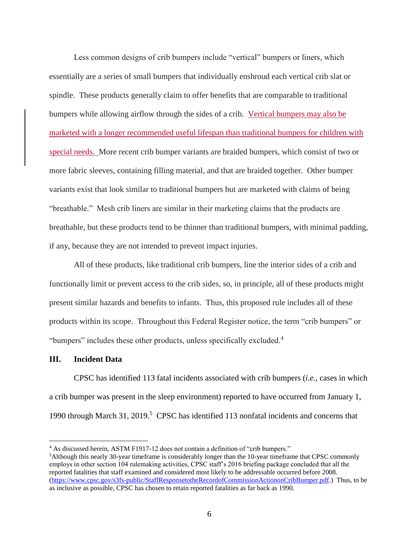Less common designs of crib bumpers include "vertical" bumpers or liners, which essentially are a series of small bumpers that individually enshroud each vertical crib slat or spindle. These products generally claim to offer benefits that are comparable to traditional bumpers while allowing airflow through the sides of a crib. Vertical bumpers may also be marketed with a longer recommended useful lifespan than traditional bumpers for children with special needs. More recent crib bumper variants are braided bumpers, which consist of two or more fabric sleeves, containing filling material, and that are braided together. Other bumper variants exist that look similar to traditional bumpers but are marketed with claims of being "breathable." Mesh crib liners are similar in their marketing claims that the products are breathable, but these products tend to be thinner than traditional bumpers, with minimal padding, if any, because they are not intended to prevent impact injuries.

All of these products, like traditional crib bumpers, line the interior sides of a crib and functionally limit or prevent access to the crib sides, so, in principle, all of these products might present similar hazards and benefits to infants. Thus, this proposed rule includes all of these products within its scope. Throughout this Federal Register notice, the term "crib bumpers" or "bumpers" includes these other products, unless specifically excluded.<sup>4</sup>

#### **III. Incident Data**

CPSC has identified 113 fatal incidents associated with crib bumpers (*i.e.,* cases in which a crib bumper was present in the sleep environment) reported to have occurred from January 1, 1990 through March 31, 2019.<sup>5</sup> CPSC has identified 113 nonfatal incidents and concerns that

<sup>4</sup> As discussed herein, ASTM F1917-12 does not contain a definition of "crib bumpers."

<sup>5</sup>Although this nearly 30-year timeframe is considerably longer than the 10-year timeframe that CPSC commonly employs in other section 104 rulemaking activities, CPSC staff's 2016 briefing package concluded that all the reported fatalities that staff examined and considered most likely to be addressable occurred before 2008. [\(https://www.cpsc.gov/s3fs-public/StaffResponsetotheRecordofCommissionActiononCribBumper.pdf.](https://www.cpsc.gov/s3fs-public/StaffResponsetotheRecordofCommissionActiononCribBumper.pdf)) Thus, to be as inclusive as possible, CPSC has chosen to retain reported fatalities as far back as 1990.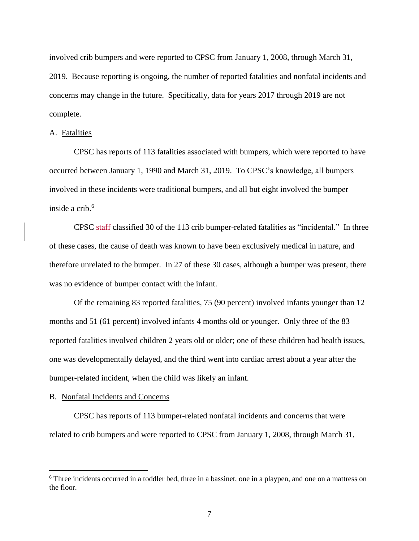involved crib bumpers and were reported to CPSC from January 1, 2008, through March 31, 2019. Because reporting is ongoing, the number of reported fatalities and nonfatal incidents and concerns may change in the future. Specifically, data for years 2017 through 2019 are not complete.

#### A. Fatalities

CPSC has reports of 113 fatalities associated with bumpers, which were reported to have occurred between January 1, 1990 and March 31, 2019. To CPSC's knowledge, all bumpers involved in these incidents were traditional bumpers, and all but eight involved the bumper inside a crib.<sup>6</sup>

CPSC staff classified 30 of the 113 crib bumper-related fatalities as "incidental." In three of these cases, the cause of death was known to have been exclusively medical in nature, and therefore unrelated to the bumper. In 27 of these 30 cases, although a bumper was present, there was no evidence of bumper contact with the infant.

Of the remaining 83 reported fatalities, 75 (90 percent) involved infants younger than 12 months and 51 (61 percent) involved infants 4 months old or younger. Only three of the 83 reported fatalities involved children 2 years old or older; one of these children had health issues, one was developmentally delayed, and the third went into cardiac arrest about a year after the bumper-related incident, when the child was likely an infant.

#### B. Nonfatal Incidents and Concerns

CPSC has reports of 113 bumper-related nonfatal incidents and concerns that were related to crib bumpers and were reported to CPSC from January 1, 2008, through March 31,

<sup>6</sup> Three incidents occurred in a toddler bed, three in a bassinet, one in a playpen, and one on a mattress on the floor.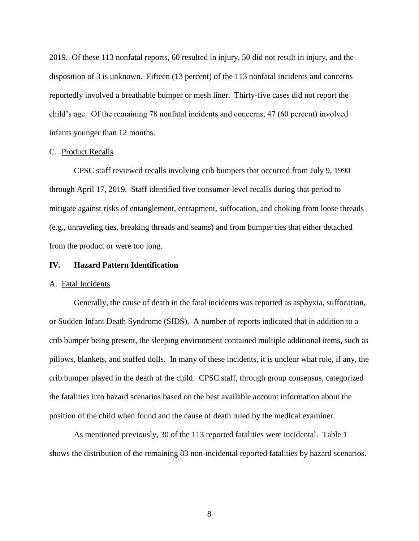2019. Of these 113 nonfatal reports, 60 resulted in injury, 50 did not result in injury, and the disposition of 3 is unknown. Fifteen (13 percent) of the 113 nonfatal incidents and concerns reportedly involved a breathable bumper or mesh liner. Thirty-five cases did not report the child's age. Of the remaining 78 nonfatal incidents and concerns, 47 (60 percent) involved infants younger than 12 months.

#### C. Product Recalls

CPSC staff reviewed recalls involving crib bumpers that occurred from July 9, 1990 through April 17, 2019. Staff identified five consumer-level recalls during that period to mitigate against risks of entanglement, entrapment, suffocation, and choking from loose threads (e.g., unraveling ties, breaking threads and seams) and from bumper ties that either detached from the product or were too long.

#### **IV. Hazard Pattern Identification**

#### A. Fatal Incidents

Generally, the cause of death in the fatal incidents was reported as asphyxia, suffocation, or Sudden Infant Death Syndrome (SIDS). A number of reports indicated that in addition to a crib bumper being present, the sleeping environment contained multiple additional items, such as pillows, blankets, and stuffed dolls. In many of these incidents, it is unclear what role, if any, the crib bumper played in the death of the child. CPSC staff, through group consensus, categorized the fatalities into hazard scenarios based on the best available account information about the position of the child when found and the cause of death ruled by the medical examiner.

As mentioned previously, 30 of the 113 reported fatalities were incidental. Table 1 shows the distribution of the remaining 83 non-incidental reported fatalities by hazard scenarios.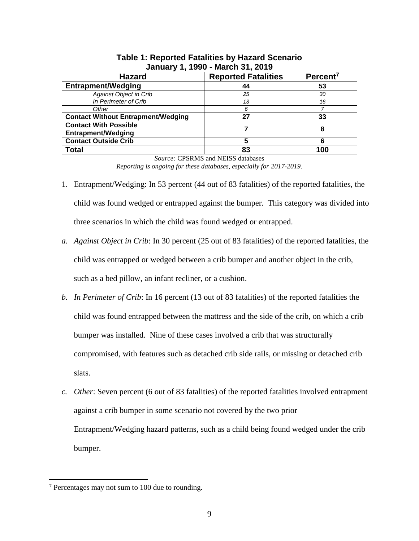| <b>Hazard</b>                                             | <b>Reported Fatalities</b> | Percent <sup>7</sup> |  |
|-----------------------------------------------------------|----------------------------|----------------------|--|
| <b>Entrapment/Wedging</b>                                 | 44                         | 53                   |  |
| <b>Against Object in Crib</b>                             | 25                         | 30                   |  |
| In Perimeter of Crib                                      | 13                         | 16                   |  |
| Other                                                     | 6                          |                      |  |
| <b>Contact Without Entrapment/Wedging</b>                 | 27                         | 33                   |  |
| <b>Contact With Possible</b><br><b>Entrapment/Wedging</b> |                            | 8                    |  |
| <b>Contact Outside Crib</b>                               | 5                          | 6                    |  |
| <b>Total</b>                                              | 83                         | 100                  |  |

# **Table 1: Reported Fatalities by Hazard Scenario January 1, 1990 - March 31, 2019**

*Source:* CPSRMS and NEISS databases *Reporting is ongoing for these databases, especially for 2017-2019.* 

- 1. Entrapment/Wedging: In 53 percent (44 out of 83 fatalities) of the reported fatalities, the child was found wedged or entrapped against the bumper. This category was divided into three scenarios in which the child was found wedged or entrapped.
- *a. Against Object in Crib*: In 30 percent (25 out of 83 fatalities) of the reported fatalities, the child was entrapped or wedged between a crib bumper and another object in the crib, such as a bed pillow, an infant recliner, or a cushion.
- *b. In Perimeter of Crib*: In 16 percent (13 out of 83 fatalities) of the reported fatalities the child was found entrapped between the mattress and the side of the crib, on which a crib bumper was installed. Nine of these cases involved a crib that was structurally compromised, with features such as detached crib side rails, or missing or detached crib slats.
- *c. Other*: Seven percent (6 out of 83 fatalities) of the reported fatalities involved entrapment against a crib bumper in some scenario not covered by the two prior Entrapment/Wedging hazard patterns, such as a child being found wedged under the crib bumper.

<sup>7</sup> Percentages may not sum to 100 due to rounding.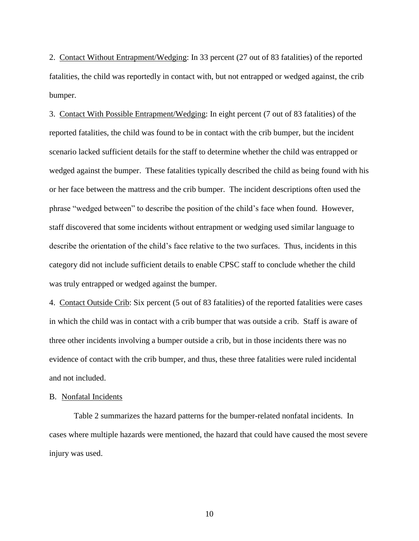2. Contact Without Entrapment/Wedging: In 33 percent (27 out of 83 fatalities) of the reported fatalities, the child was reportedly in contact with, but not entrapped or wedged against, the crib bumper.

3. Contact With Possible Entrapment/Wedging: In eight percent (7 out of 83 fatalities) of the reported fatalities, the child was found to be in contact with the crib bumper, but the incident scenario lacked sufficient details for the staff to determine whether the child was entrapped or wedged against the bumper. These fatalities typically described the child as being found with his or her face between the mattress and the crib bumper. The incident descriptions often used the phrase "wedged between" to describe the position of the child's face when found. However, staff discovered that some incidents without entrapment or wedging used similar language to describe the orientation of the child's face relative to the two surfaces. Thus, incidents in this category did not include sufficient details to enable CPSC staff to conclude whether the child was truly entrapped or wedged against the bumper.

4. Contact Outside Crib: Six percent (5 out of 83 fatalities) of the reported fatalities were cases in which the child was in contact with a crib bumper that was outside a crib. Staff is aware of three other incidents involving a bumper outside a crib, but in those incidents there was no evidence of contact with the crib bumper, and thus, these three fatalities were ruled incidental and not included.

#### B. Nonfatal Incidents

Table 2 summarizes the hazard patterns for the bumper-related nonfatal incidents. In cases where multiple hazards were mentioned, the hazard that could have caused the most severe injury was used.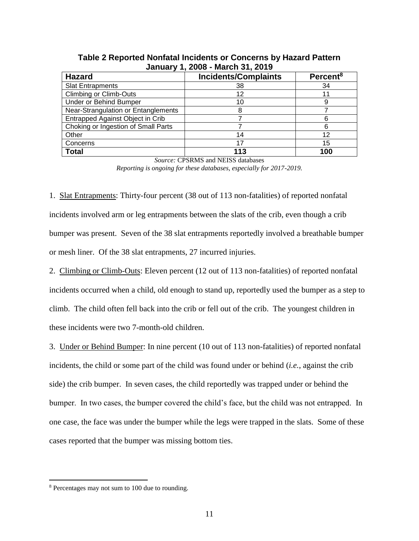| .<br>                               |                             |                      |  |
|-------------------------------------|-----------------------------|----------------------|--|
| <b>Hazard</b>                       | <b>Incidents/Complaints</b> | Percent <sup>8</sup> |  |
| <b>Slat Entrapments</b>             | 38                          | 34                   |  |
| <b>Climbing or Climb-Outs</b>       | 12                          |                      |  |
| Under or Behind Bumper              |                             |                      |  |
| Near-Strangulation or Entanglements |                             |                      |  |
| Entrapped Against Object in Crib    |                             |                      |  |
| Choking or Ingestion of Small Parts |                             |                      |  |
| Other                               | 14                          | 12                   |  |
| Concerns                            |                             | 15                   |  |
| <b>Total</b>                        | 113                         | 100                  |  |

**Table 2 Reported Nonfatal Incidents or Concerns by Hazard Pattern January 1, 2008 - March 31, 2019**

*Source:* CPSRMS and NEISS databases

*Reporting is ongoing for these databases, especially for 2017-2019.*

1. Slat Entrapments: Thirty-four percent (38 out of 113 non-fatalities) of reported nonfatal incidents involved arm or leg entrapments between the slats of the crib, even though a crib bumper was present. Seven of the 38 slat entrapments reportedly involved a breathable bumper or mesh liner. Of the 38 slat entrapments, 27 incurred injuries.

2. Climbing or Climb-Outs: Eleven percent (12 out of 113 non-fatalities) of reported nonfatal incidents occurred when a child, old enough to stand up, reportedly used the bumper as a step to climb. The child often fell back into the crib or fell out of the crib. The youngest children in these incidents were two 7-month-old children.

3. Under or Behind Bumper: In nine percent (10 out of 113 non-fatalities) of reported nonfatal incidents, the child or some part of the child was found under or behind (*i.e.*, against the crib side) the crib bumper. In seven cases, the child reportedly was trapped under or behind the bumper. In two cases, the bumper covered the child's face, but the child was not entrapped. In one case, the face was under the bumper while the legs were trapped in the slats. Some of these cases reported that the bumper was missing bottom ties.

<sup>&</sup>lt;sup>8</sup> Percentages may not sum to 100 due to rounding.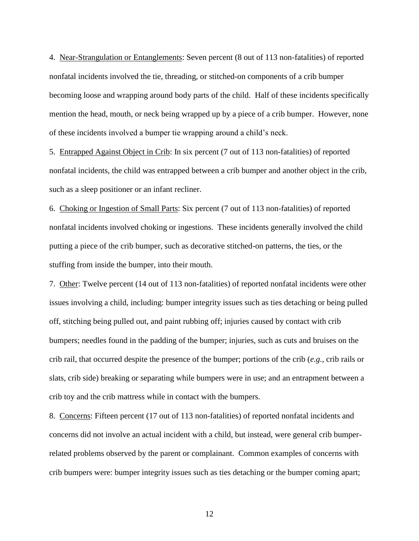4. Near-Strangulation or Entanglements: Seven percent (8 out of 113 non-fatalities) of reported nonfatal incidents involved the tie, threading, or stitched-on components of a crib bumper becoming loose and wrapping around body parts of the child. Half of these incidents specifically mention the head, mouth, or neck being wrapped up by a piece of a crib bumper. However, none of these incidents involved a bumper tie wrapping around a child's neck.

5. Entrapped Against Object in Crib: In six percent (7 out of 113 non-fatalities) of reported nonfatal incidents, the child was entrapped between a crib bumper and another object in the crib, such as a sleep positioner or an infant recliner.

6. Choking or Ingestion of Small Parts: Six percent (7 out of 113 non-fatalities) of reported nonfatal incidents involved choking or ingestions. These incidents generally involved the child putting a piece of the crib bumper, such as decorative stitched-on patterns, the ties, or the stuffing from inside the bumper, into their mouth.

7. Other: Twelve percent (14 out of 113 non-fatalities) of reported nonfatal incidents were other issues involving a child, including: bumper integrity issues such as ties detaching or being pulled off, stitching being pulled out, and paint rubbing off; injuries caused by contact with crib bumpers; needles found in the padding of the bumper; injuries, such as cuts and bruises on the crib rail, that occurred despite the presence of the bumper; portions of the crib (*e.g.*, crib rails or slats, crib side) breaking or separating while bumpers were in use; and an entrapment between a crib toy and the crib mattress while in contact with the bumpers.

8. Concerns: Fifteen percent (17 out of 113 non-fatalities) of reported nonfatal incidents and concerns did not involve an actual incident with a child, but instead, were general crib bumperrelated problems observed by the parent or complainant. Common examples of concerns with crib bumpers were: bumper integrity issues such as ties detaching or the bumper coming apart;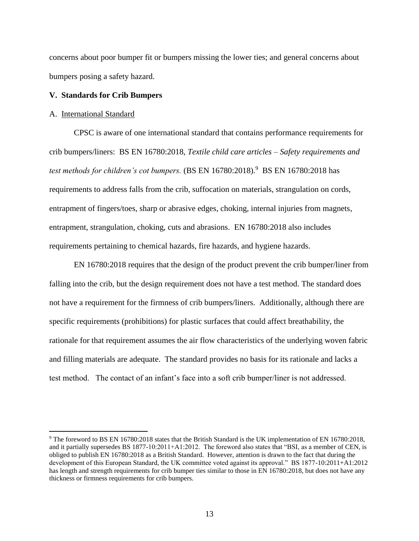concerns about poor bumper fit or bumpers missing the lower ties; and general concerns about bumpers posing a safety hazard.

### **V. Standards for Crib Bumpers**

#### A. International Standard

CPSC is aware of one international standard that contains performance requirements for crib bumpers/liners: BS EN 16780:2018, *Textile child care articles – Safety requirements and*  test methods for children's cot bumpers. (BS EN 16780:2018).<sup>9</sup> BS EN 16780:2018 has requirements to address falls from the crib, suffocation on materials, strangulation on cords, entrapment of fingers/toes, sharp or abrasive edges, choking, internal injuries from magnets, entrapment, strangulation, choking, cuts and abrasions. EN 16780:2018 also includes requirements pertaining to chemical hazards, fire hazards, and hygiene hazards.

EN 16780:2018 requires that the design of the product prevent the crib bumper/liner from falling into the crib, but the design requirement does not have a test method. The standard does not have a requirement for the firmness of crib bumpers/liners. Additionally, although there are specific requirements (prohibitions) for plastic surfaces that could affect breathability, the rationale for that requirement assumes the air flow characteristics of the underlying woven fabric and filling materials are adequate. The standard provides no basis for its rationale and lacks a test method. The contact of an infant's face into a soft crib bumper/liner is not addressed.

<sup>&</sup>lt;sup>9</sup> The foreword to BS EN 16780:2018 states that the British Standard is the UK implementation of EN 16780:2018, and it partially supersedes BS 1877-10:2011+A1:2012. The foreword also states that "BSI, as a member of CEN, is obliged to publish EN 16780:2018 as a British Standard. However, attention is drawn to the fact that during the development of this European Standard, the UK committee voted against its approval." BS 1877-10:2011+A1:2012 has length and strength requirements for crib bumper ties similar to those in EN 16780:2018, but does not have any thickness or firmness requirements for crib bumpers.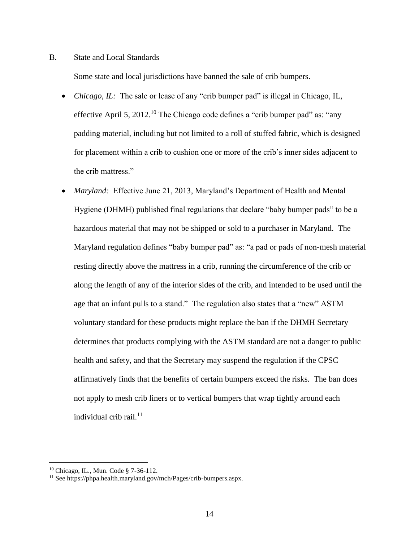#### B. State and Local Standards

Some state and local jurisdictions have banned the sale of crib bumpers.

- *Chicago, IL:* The sale or lease of any "crib bumper pad" is illegal in Chicago, IL, effective April 5, 2012.<sup>10</sup> The Chicago code defines a "crib bumper pad" as: "any padding material, including but not limited to a roll of stuffed fabric, which is designed for placement within a crib to cushion one or more of the crib's inner sides adjacent to the crib mattress."
- *Maryland:* Effective June 21, 2013, Maryland's Department of Health and Mental Hygiene (DHMH) published final regulations that declare "baby bumper pads" to be a hazardous material that may not be shipped or sold to a purchaser in Maryland. The Maryland regulation defines "baby bumper pad" as: "a pad or pads of non-mesh material resting directly above the mattress in a crib, running the circumference of the crib or along the length of any of the interior sides of the crib, and intended to be used until the age that an infant pulls to a stand." The regulation also states that a "new" ASTM voluntary standard for these products might replace the ban if the DHMH Secretary determines that products complying with the ASTM standard are not a danger to public health and safety, and that the Secretary may suspend the regulation if the CPSC affirmatively finds that the benefits of certain bumpers exceed the risks. The ban does not apply to mesh crib liners or to vertical bumpers that wrap tightly around each individual crib rail. $^{11}$

<sup>10</sup> Chicago, IL., Mun. Code § 7-36-112.

<sup>11</sup> See https://phpa.health.maryland.gov/mch/Pages/crib-bumpers.aspx.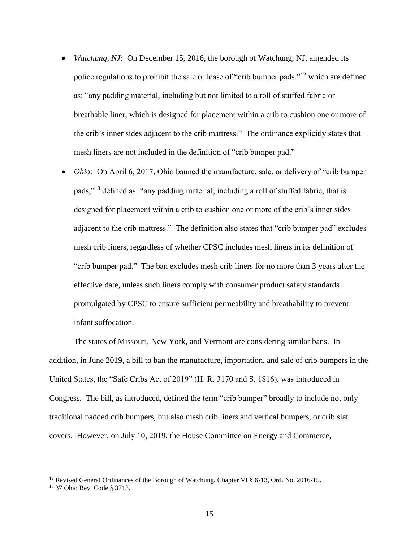- *Watchung, NJ:* On December 15, 2016, the borough of Watchung, NJ, amended its police regulations to prohibit the sale or lease of "crib bumper pads,"<sup>12</sup> which are defined as: "any padding material, including but not limited to a roll of stuffed fabric or breathable liner, which is designed for placement within a crib to cushion one or more of the crib's inner sides adjacent to the crib mattress." The ordinance explicitly states that mesh liners are not included in the definition of "crib bumper pad."
- *Ohio:* On April 6, 2017, Ohio banned the manufacture, sale, or delivery of "crib bumper" pads,"<sup>13</sup> defined as: "any padding material, including a roll of stuffed fabric, that is designed for placement within a crib to cushion one or more of the crib's inner sides adjacent to the crib mattress." The definition also states that "crib bumper pad" excludes mesh crib liners, regardless of whether CPSC includes mesh liners in its definition of "crib bumper pad." The ban excludes mesh crib liners for no more than 3 years after the effective date, unless such liners comply with consumer product safety standards promulgated by CPSC to ensure sufficient permeability and breathability to prevent infant suffocation.

The states of Missouri, New York, and Vermont are considering similar bans. In addition, in June 2019, a bill to ban the manufacture, importation, and sale of crib bumpers in the United States, the "Safe Cribs Act of 2019" (H. R. 3170 and S. 1816), was introduced in Congress. The bill, as introduced, defined the term "crib bumper" broadly to include not only traditional padded crib bumpers, but also mesh crib liners and vertical bumpers, or crib slat covers. However, on July 10, 2019, the House Committee on Energy and Commerce,

<sup>&</sup>lt;sup>12</sup> Revised General Ordinances of the Borough of Watchung, Chapter VI  $\S$  6-13, Ord. No. 2016-15.

<sup>13</sup> 37 Ohio Rev. Code § 3713.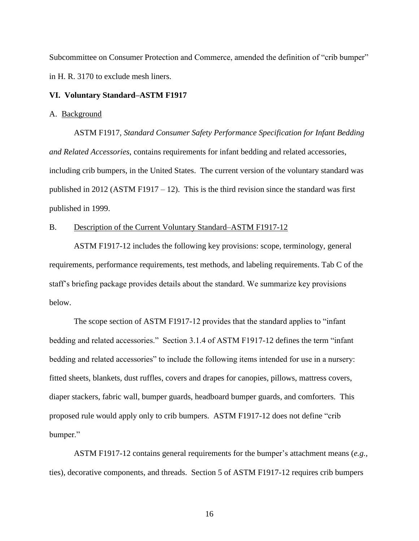Subcommittee on Consumer Protection and Commerce, amended the definition of "crib bumper" in H. R. 3170 to exclude mesh liners.

#### **VI. Voluntary Standard–ASTM F1917**

#### A. Background

ASTM F1917, *Standard Consumer Safety Performance Specification for Infant Bedding and Related Accessories*, contains requirements for infant bedding and related accessories, including crib bumpers, in the United States. The current version of the voluntary standard was published in 2012 (ASTM F1917 – 12). This is the third revision since the standard was first published in 1999.

#### B. Description of the Current Voluntary Standard–ASTM F1917-12

ASTM F1917-12 includes the following key provisions: scope, terminology, general requirements, performance requirements, test methods, and labeling requirements. Tab C of the staff's briefing package provides details about the standard. We summarize key provisions below.

The scope section of ASTM F1917-12 provides that the standard applies to "infant bedding and related accessories." Section 3.1.4 of ASTM F1917-12 defines the term "infant bedding and related accessories" to include the following items intended for use in a nursery: fitted sheets, blankets, dust ruffles, covers and drapes for canopies, pillows, mattress covers, diaper stackers, fabric wall, bumper guards, headboard bumper guards, and comforters. This proposed rule would apply only to crib bumpers. ASTM F1917-12 does not define "crib bumper."

ASTM F1917-12 contains general requirements for the bumper's attachment means (*e.g.,* ties), decorative components, and threads. Section 5 of ASTM F1917-12 requires crib bumpers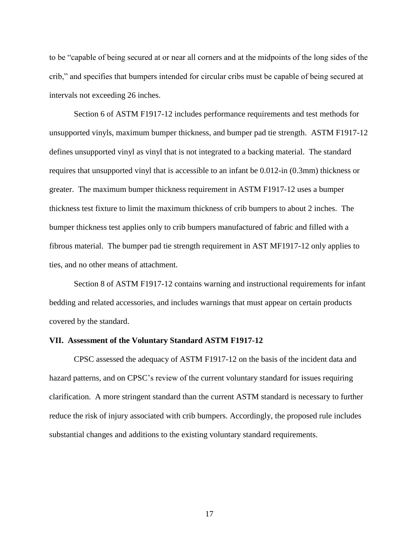to be "capable of being secured at or near all corners and at the midpoints of the long sides of the crib," and specifies that bumpers intended for circular cribs must be capable of being secured at intervals not exceeding 26 inches.

Section 6 of ASTM F1917-12 includes performance requirements and test methods for unsupported vinyls, maximum bumper thickness, and bumper pad tie strength. ASTM F1917-12 defines unsupported vinyl as vinyl that is not integrated to a backing material. The standard requires that unsupported vinyl that is accessible to an infant be 0.012-in (0.3mm) thickness or greater. The maximum bumper thickness requirement in ASTM F1917-12 uses a bumper thickness test fixture to limit the maximum thickness of crib bumpers to about 2 inches. The bumper thickness test applies only to crib bumpers manufactured of fabric and filled with a fibrous material. The bumper pad tie strength requirement in AST MF1917-12 only applies to ties, and no other means of attachment.

Section 8 of ASTM F1917-12 contains warning and instructional requirements for infant bedding and related accessories, and includes warnings that must appear on certain products covered by the standard.

#### **VII. Assessment of the Voluntary Standard ASTM F1917-12**

CPSC assessed the adequacy of ASTM F1917-12 on the basis of the incident data and hazard patterns, and on CPSC's review of the current voluntary standard for issues requiring clarification. A more stringent standard than the current ASTM standard is necessary to further reduce the risk of injury associated with crib bumpers. Accordingly, the proposed rule includes substantial changes and additions to the existing voluntary standard requirements.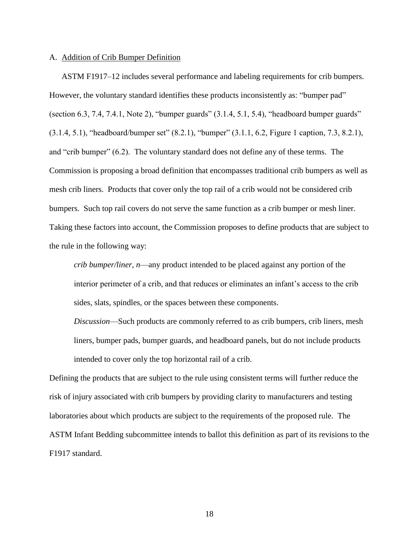#### A. Addition of Crib Bumper Definition

ASTM F1917–12 includes several performance and labeling requirements for crib bumpers. However, the voluntary standard identifies these products inconsistently as: "bumper pad" (section  $6.3$ ,  $7.4$ ,  $7.4.1$ , Note 2), "bumper guards"  $(3.1.4, 5.1, 5.4)$ , "headboard bumper guards" (3.1.4, 5.1), "headboard/bumper set" (8.2.1), "bumper" (3.1.1, 6.2, Figure 1 caption, 7.3, 8.2.1), and "crib bumper" (6.2). The voluntary standard does not define any of these terms. The Commission is proposing a broad definition that encompasses traditional crib bumpers as well as mesh crib liners. Products that cover only the top rail of a crib would not be considered crib bumpers. Such top rail covers do not serve the same function as a crib bumper or mesh liner. Taking these factors into account, the Commission proposes to define products that are subject to the rule in the following way:

*crib bumper/liner, n*—any product intended to be placed against any portion of the interior perimeter of a crib, and that reduces or eliminates an infant's access to the crib sides, slats, spindles, or the spaces between these components.

*Discussion*—Such products are commonly referred to as crib bumpers, crib liners, mesh liners, bumper pads, bumper guards, and headboard panels, but do not include products intended to cover only the top horizontal rail of a crib.

Defining the products that are subject to the rule using consistent terms will further reduce the risk of injury associated with crib bumpers by providing clarity to manufacturers and testing laboratories about which products are subject to the requirements of the proposed rule. The ASTM Infant Bedding subcommittee intends to ballot this definition as part of its revisions to the F1917 standard.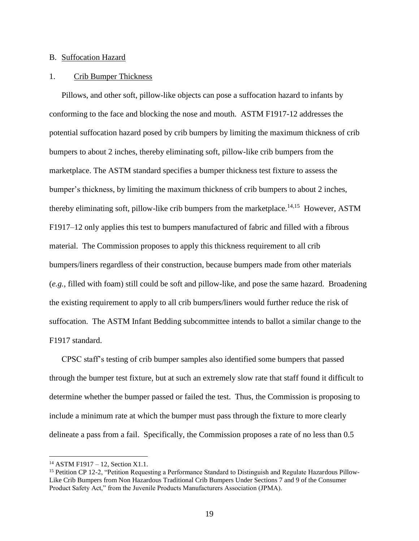#### B. Suffocation Hazard

#### 1. Crib Bumper Thickness

Pillows, and other soft, pillow-like objects can pose a suffocation hazard to infants by conforming to the face and blocking the nose and mouth. ASTM F1917-12 addresses the potential suffocation hazard posed by crib bumpers by limiting the maximum thickness of crib bumpers to about 2 inches, thereby eliminating soft, pillow-like crib bumpers from the marketplace. The ASTM standard specifies a bumper thickness test fixture to assess the bumper's thickness, by limiting the maximum thickness of crib bumpers to about 2 inches, thereby eliminating soft, pillow-like crib bumpers from the marketplace.<sup>14,15</sup> However, ASTM F1917–12 only applies this test to bumpers manufactured of fabric and filled with a fibrous material. The Commission proposes to apply this thickness requirement to all crib bumpers/liners regardless of their construction, because bumpers made from other materials (*e.g.*, filled with foam) still could be soft and pillow-like, and pose the same hazard. Broadening the existing requirement to apply to all crib bumpers/liners would further reduce the risk of suffocation. The ASTM Infant Bedding subcommittee intends to ballot a similar change to the F1917 standard.

CPSC staff's testing of crib bumper samples also identified some bumpers that passed through the bumper test fixture, but at such an extremely slow rate that staff found it difficult to determine whether the bumper passed or failed the test. Thus, the Commission is proposing to include a minimum rate at which the bumper must pass through the fixture to more clearly delineate a pass from a fail. Specifically, the Commission proposes a rate of no less than 0.5

 $14$  ASTM F1917 – 12, Section X1.1.

<sup>&</sup>lt;sup>15</sup> Petition CP 12-2, "Petition Requesting a Performance Standard to Distinguish and Regulate Hazardous Pillow-Like Crib Bumpers from Non Hazardous Traditional Crib Bumpers Under Sections 7 and 9 of the Consumer Product Safety Act," from the Juvenile Products Manufacturers Association (JPMA).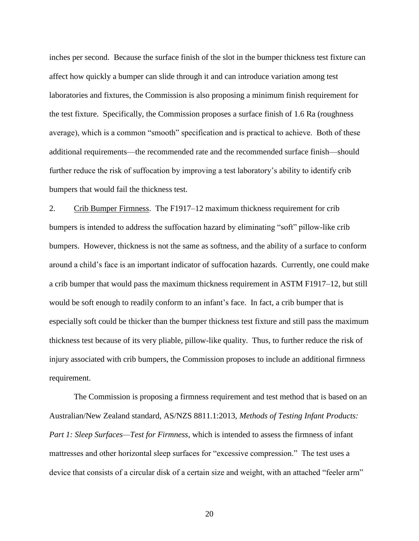inches per second. Because the surface finish of the slot in the bumper thickness test fixture can affect how quickly a bumper can slide through it and can introduce variation among test laboratories and fixtures, the Commission is also proposing a minimum finish requirement for the test fixture. Specifically, the Commission proposes a surface finish of 1.6 Ra (roughness average), which is a common "smooth" specification and is practical to achieve. Both of these additional requirements—the recommended rate and the recommended surface finish—should further reduce the risk of suffocation by improving a test laboratory's ability to identify crib bumpers that would fail the thickness test.

2. Crib Bumper Firmness. The F1917–12 maximum thickness requirement for crib bumpers is intended to address the suffocation hazard by eliminating "soft" pillow-like crib bumpers. However, thickness is not the same as softness, and the ability of a surface to conform around a child's face is an important indicator of suffocation hazards. Currently, one could make a crib bumper that would pass the maximum thickness requirement in ASTM F1917–12, but still would be soft enough to readily conform to an infant's face. In fact, a crib bumper that is especially soft could be thicker than the bumper thickness test fixture and still pass the maximum thickness test because of its very pliable, pillow-like quality. Thus, to further reduce the risk of injury associated with crib bumpers, the Commission proposes to include an additional firmness requirement.

The Commission is proposing a firmness requirement and test method that is based on an Australian/New Zealand standard, AS/NZS 8811.1:2013, *Methods of Testing Infant Products: Part 1: Sleep Surfaces—Test for Firmness*, which is intended to assess the firmness of infant mattresses and other horizontal sleep surfaces for "excessive compression." The test uses a device that consists of a circular disk of a certain size and weight, with an attached "feeler arm"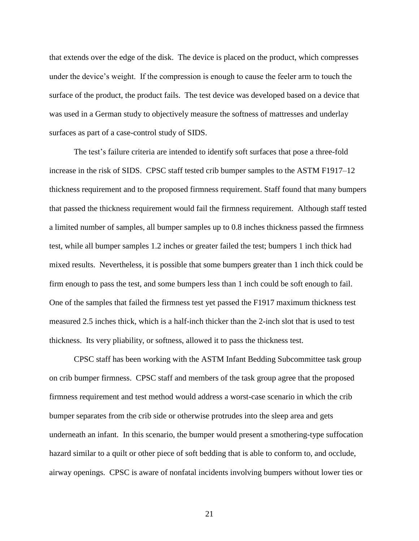that extends over the edge of the disk. The device is placed on the product, which compresses under the device's weight. If the compression is enough to cause the feeler arm to touch the surface of the product, the product fails. The test device was developed based on a device that was used in a German study to objectively measure the softness of mattresses and underlay surfaces as part of a case-control study of SIDS.

The test's failure criteria are intended to identify soft surfaces that pose a three-fold increase in the risk of SIDS. CPSC staff tested crib bumper samples to the ASTM F1917–12 thickness requirement and to the proposed firmness requirement. Staff found that many bumpers that passed the thickness requirement would fail the firmness requirement. Although staff tested a limited number of samples, all bumper samples up to 0.8 inches thickness passed the firmness test, while all bumper samples 1.2 inches or greater failed the test; bumpers 1 inch thick had mixed results. Nevertheless, it is possible that some bumpers greater than 1 inch thick could be firm enough to pass the test, and some bumpers less than 1 inch could be soft enough to fail. One of the samples that failed the firmness test yet passed the F1917 maximum thickness test measured 2.5 inches thick, which is a half-inch thicker than the 2-inch slot that is used to test thickness. Its very pliability, or softness, allowed it to pass the thickness test.

CPSC staff has been working with the ASTM Infant Bedding Subcommittee task group on crib bumper firmness. CPSC staff and members of the task group agree that the proposed firmness requirement and test method would address a worst-case scenario in which the crib bumper separates from the crib side or otherwise protrudes into the sleep area and gets underneath an infant. In this scenario, the bumper would present a smothering-type suffocation hazard similar to a quilt or other piece of soft bedding that is able to conform to, and occlude, airway openings. CPSC is aware of nonfatal incidents involving bumpers without lower ties or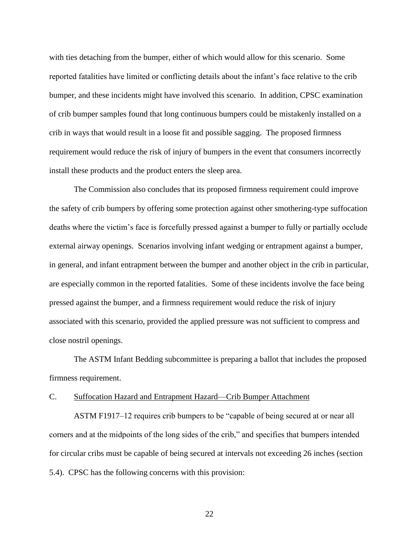with ties detaching from the bumper, either of which would allow for this scenario. Some reported fatalities have limited or conflicting details about the infant's face relative to the crib bumper, and these incidents might have involved this scenario. In addition, CPSC examination of crib bumper samples found that long continuous bumpers could be mistakenly installed on a crib in ways that would result in a loose fit and possible sagging. The proposed firmness requirement would reduce the risk of injury of bumpers in the event that consumers incorrectly install these products and the product enters the sleep area.

The Commission also concludes that its proposed firmness requirement could improve the safety of crib bumpers by offering some protection against other smothering-type suffocation deaths where the victim's face is forcefully pressed against a bumper to fully or partially occlude external airway openings. Scenarios involving infant wedging or entrapment against a bumper, in general, and infant entrapment between the bumper and another object in the crib in particular, are especially common in the reported fatalities. Some of these incidents involve the face being pressed against the bumper, and a firmness requirement would reduce the risk of injury associated with this scenario, provided the applied pressure was not sufficient to compress and close nostril openings.

The ASTM Infant Bedding subcommittee is preparing a ballot that includes the proposed firmness requirement.

## C. Suffocation Hazard and Entrapment Hazard—Crib Bumper Attachment

ASTM F1917–12 requires crib bumpers to be "capable of being secured at or near all corners and at the midpoints of the long sides of the crib," and specifies that bumpers intended for circular cribs must be capable of being secured at intervals not exceeding 26 inches (section 5.4). CPSC has the following concerns with this provision: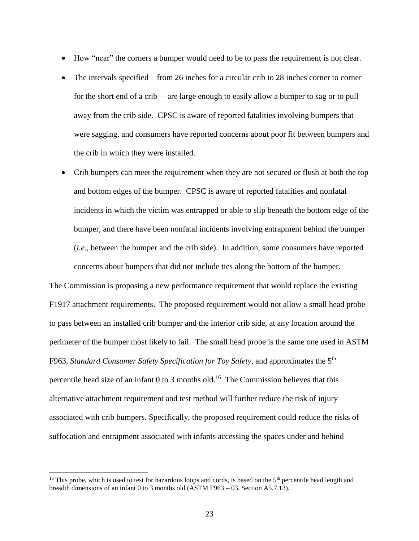- How "near" the corners a bumper would need to be to pass the requirement is not clear.
- The intervals specified—from 26 inches for a circular crib to 28 inches corner to corner for the short end of a crib— are large enough to easily allow a bumper to sag or to pull away from the crib side. CPSC is aware of reported fatalities involving bumpers that were sagging, and consumers have reported concerns about poor fit between bumpers and the crib in which they were installed.
- Crib bumpers can meet the requirement when they are not secured or flush at both the top and bottom edges of the bumper. CPSC is aware of reported fatalities and nonfatal incidents in which the victim was entrapped or able to slip beneath the bottom edge of the bumper, and there have been nonfatal incidents involving entrapment behind the bumper (*i.e.*, between the bumper and the crib side). In addition, some consumers have reported concerns about bumpers that did not include ties along the bottom of the bumper.

The Commission is proposing a new performance requirement that would replace the existing F1917 attachment requirements. The proposed requirement would not allow a small head probe to pass between an installed crib bumper and the interior crib side, at any location around the perimeter of the bumper most likely to fail. The small head probe is the same one used in ASTM F963, *Standard Consumer Safety Specification for Toy Safety*, and approximates the 5th percentile head size of an infant  $0$  to 3 months old.<sup>16</sup> The Commission believes that this alternative attachment requirement and test method will further reduce the risk of injury associated with crib bumpers. Specifically, the proposed requirement could reduce the risks of suffocation and entrapment associated with infants accessing the spaces under and behind

<sup>&</sup>lt;sup>16</sup> This probe, which is used to test for hazardous loops and cords, is based on the  $5<sup>th</sup>$  percentile head length and breadth dimensions of an infant 0 to 3 months old (ASTM F963 – 03, Section A5.7.13).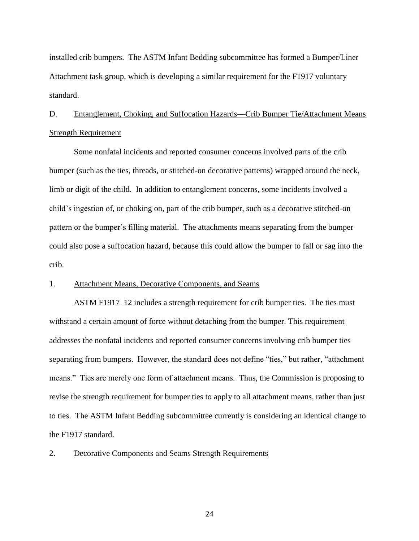installed crib bumpers. The ASTM Infant Bedding subcommittee has formed a Bumper/Liner Attachment task group, which is developing a similar requirement for the F1917 voluntary standard.

# D. Entanglement, Choking, and Suffocation Hazards—Crib Bumper Tie/Attachment Means Strength Requirement

Some nonfatal incidents and reported consumer concerns involved parts of the crib bumper (such as the ties, threads, or stitched-on decorative patterns) wrapped around the neck, limb or digit of the child. In addition to entanglement concerns, some incidents involved a child's ingestion of, or choking on, part of the crib bumper, such as a decorative stitched-on pattern or the bumper's filling material. The attachments means separating from the bumper could also pose a suffocation hazard, because this could allow the bumper to fall or sag into the crib.

## 1. Attachment Means, Decorative Components, and Seams

ASTM F1917–12 includes a strength requirement for crib bumper ties. The ties must withstand a certain amount of force without detaching from the bumper. This requirement addresses the nonfatal incidents and reported consumer concerns involving crib bumper ties separating from bumpers. However, the standard does not define "ties," but rather, "attachment means." Ties are merely one form of attachment means. Thus, the Commission is proposing to revise the strength requirement for bumper ties to apply to all attachment means, rather than just to ties. The ASTM Infant Bedding subcommittee currently is considering an identical change to the F1917 standard.

#### 2. Decorative Components and Seams Strength Requirements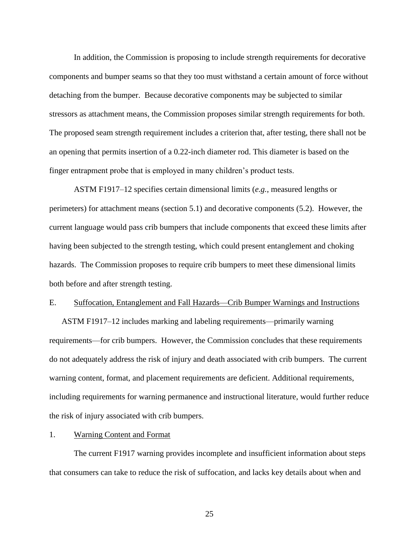In addition, the Commission is proposing to include strength requirements for decorative components and bumper seams so that they too must withstand a certain amount of force without detaching from the bumper. Because decorative components may be subjected to similar stressors as attachment means, the Commission proposes similar strength requirements for both. The proposed seam strength requirement includes a criterion that, after testing, there shall not be an opening that permits insertion of a 0.22-inch diameter rod. This diameter is based on the finger entrapment probe that is employed in many children's product tests.

ASTM F1917–12 specifies certain dimensional limits (*e.g.*, measured lengths or perimeters) for attachment means (section 5.1) and decorative components (5.2). However, the current language would pass crib bumpers that include components that exceed these limits after having been subjected to the strength testing, which could present entanglement and choking hazards. The Commission proposes to require crib bumpers to meet these dimensional limits both before and after strength testing.

#### E. Suffocation, Entanglement and Fall Hazards—Crib Bumper Warnings and Instructions

ASTM F1917–12 includes marking and labeling requirements—primarily warning requirements—for crib bumpers. However, the Commission concludes that these requirements do not adequately address the risk of injury and death associated with crib bumpers. The current warning content, format, and placement requirements are deficient. Additional requirements, including requirements for warning permanence and instructional literature, would further reduce the risk of injury associated with crib bumpers.

#### 1. Warning Content and Format

The current F1917 warning provides incomplete and insufficient information about steps that consumers can take to reduce the risk of suffocation, and lacks key details about when and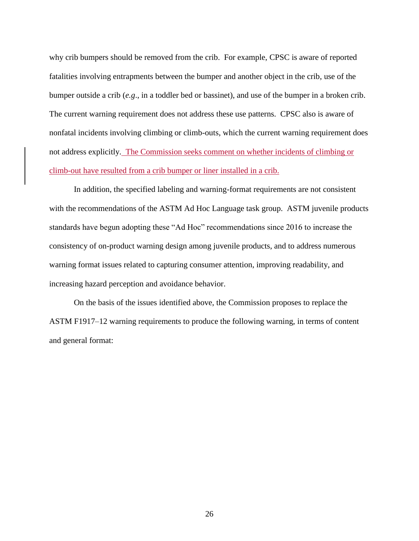why crib bumpers should be removed from the crib. For example, CPSC is aware of reported fatalities involving entrapments between the bumper and another object in the crib, use of the bumper outside a crib (*e.g*., in a toddler bed or bassinet), and use of the bumper in a broken crib. The current warning requirement does not address these use patterns. CPSC also is aware of nonfatal incidents involving climbing or climb-outs, which the current warning requirement does not address explicitly. The Commission seeks comment on whether incidents of climbing or climb-out have resulted from a crib bumper or liner installed in a crib.

In addition, the specified labeling and warning-format requirements are not consistent with the recommendations of the ASTM Ad Hoc Language task group. ASTM juvenile products standards have begun adopting these "Ad Hoc" recommendations since 2016 to increase the consistency of on-product warning design among juvenile products, and to address numerous warning format issues related to capturing consumer attention, improving readability, and increasing hazard perception and avoidance behavior.

On the basis of the issues identified above, the Commission proposes to replace the ASTM F1917–12 warning requirements to produce the following warning, in terms of content and general format: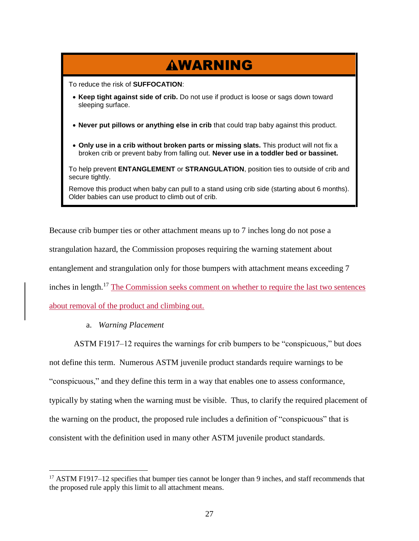# WARNING

To reduce the risk of **SUFFOCATION**:

- **Keep tight against side of crib.** Do not use if product is loose or sags down toward sleeping surface.
- **Never put pillows or anything else in crib** that could trap baby against this product.
- **Only use in a crib without broken parts or missing slats.** This product will not fix a broken crib or prevent baby from falling out. **Never use in a toddler bed or bassinet.**

To help prevent **ENTANGLEMENT** or **STRANGULATION**, position ties to outside of crib and secure tightly.

Remove this product when baby can pull to a stand using crib side (starting about 6 months). Older babies can use product to climb out of crib.

Because crib bumper ties or other attachment means up to 7 inches long do not pose a strangulation hazard, the Commission proposes requiring the warning statement about entanglement and strangulation only for those bumpers with attachment means exceeding 7 inches in length.<sup>17</sup> The Commission seeks comment on whether to require the last two sentences about removal of the product and climbing out.

a. *Warning Placement*

ASTM F1917–12 requires the warnings for crib bumpers to be "conspicuous," but does

not define this term. Numerous ASTM juvenile product standards require warnings to be "conspicuous," and they define this term in a way that enables one to assess conformance, typically by stating when the warning must be visible. Thus, to clarify the required placement of the warning on the product, the proposed rule includes a definition of "conspicuous" that is consistent with the definition used in many other ASTM juvenile product standards.

<sup>&</sup>lt;sup>17</sup> ASTM F1917–12 specifies that bumper ties cannot be longer than 9 inches, and staff recommends that the proposed rule apply this limit to all attachment means.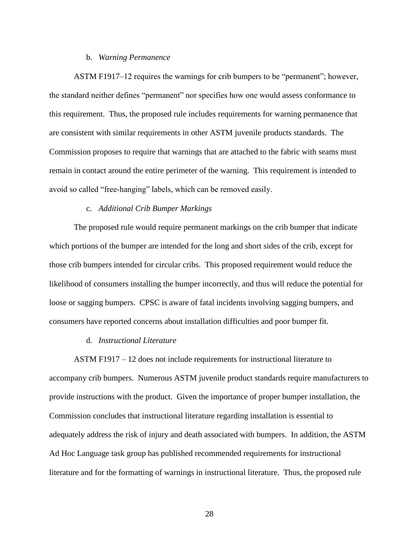#### b. *Warning Permanence*

ASTM F1917–12 requires the warnings for crib bumpers to be "permanent"; however, the standard neither defines "permanent" nor specifies how one would assess conformance to this requirement. Thus, the proposed rule includes requirements for warning permanence that are consistent with similar requirements in other ASTM juvenile products standards. The Commission proposes to require that warnings that are attached to the fabric with seams must remain in contact around the entire perimeter of the warning. This requirement is intended to avoid so called "free-hanging" labels, which can be removed easily.

### c. *Additional Crib Bumper Markings*

The proposed rule would require permanent markings on the crib bumper that indicate which portions of the bumper are intended for the long and short sides of the crib, except for those crib bumpers intended for circular cribs. This proposed requirement would reduce the likelihood of consumers installing the bumper incorrectly, and thus will reduce the potential for loose or sagging bumpers. CPSC is aware of fatal incidents involving sagging bumpers, and consumers have reported concerns about installation difficulties and poor bumper fit.

#### d. *Instructional Literature*

ASTM F1917 – 12 does not include requirements for instructional literature to accompany crib bumpers. Numerous ASTM juvenile product standards require manufacturers to provide instructions with the product. Given the importance of proper bumper installation, the Commission concludes that instructional literature regarding installation is essential to adequately address the risk of injury and death associated with bumpers. In addition, the ASTM Ad Hoc Language task group has published recommended requirements for instructional literature and for the formatting of warnings in instructional literature. Thus, the proposed rule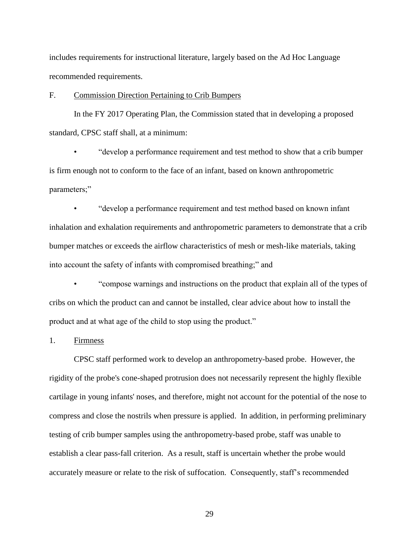includes requirements for instructional literature, largely based on the Ad Hoc Language recommended requirements.

# F. Commission Direction Pertaining to Crib Bumpers

In the FY 2017 Operating Plan, the Commission stated that in developing a proposed standard, CPSC staff shall, at a minimum:

• "develop a performance requirement and test method to show that a crib bumper is firm enough not to conform to the face of an infant, based on known anthropometric parameters;"

• "develop a performance requirement and test method based on known infant inhalation and exhalation requirements and anthropometric parameters to demonstrate that a crib bumper matches or exceeds the airflow characteristics of mesh or mesh-like materials, taking into account the safety of infants with compromised breathing;" and

• "compose warnings and instructions on the product that explain all of the types of cribs on which the product can and cannot be installed, clear advice about how to install the product and at what age of the child to stop using the product."

1. Firmness

CPSC staff performed work to develop an anthropometry-based probe. However, the rigidity of the probe's cone-shaped protrusion does not necessarily represent the highly flexible cartilage in young infants' noses, and therefore, might not account for the potential of the nose to compress and close the nostrils when pressure is applied. In addition, in performing preliminary testing of crib bumper samples using the anthropometry-based probe, staff was unable to establish a clear pass-fall criterion. As a result, staff is uncertain whether the probe would accurately measure or relate to the risk of suffocation. Consequently, staff's recommended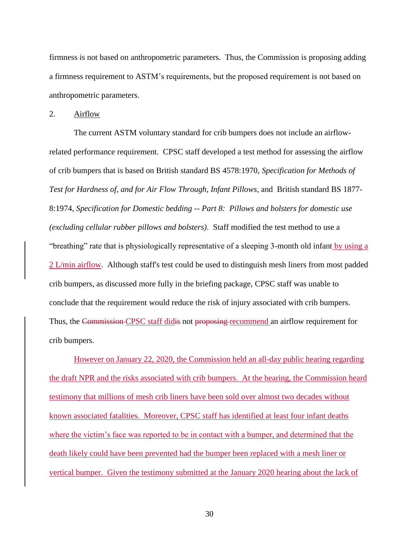firmness is not based on anthropometric parameters. Thus, the Commission is proposing adding a firmness requirement to ASTM's requirements, but the proposed requirement is not based on anthropometric parameters.

2. Airflow

The current ASTM voluntary standard for crib bumpers does not include an airflowrelated performance requirement. CPSC staff developed a test method for assessing the airflow of crib bumpers that is based on British standard BS 4578:1970, *Specification for Methods of Test for Hardness of, and for Air Flow Through, Infant Pillows*, and British standard BS 1877- 8:1974, *Specification for Domestic bedding -- Part 8: Pillows and bolsters for domestic use (excluding cellular rubber pillows and bolsters)*. Staff modified the test method to use a "breathing" rate that is physiologically representative of a sleeping 3-month old infant by using a 2 L/min airflow. Although staff's test could be used to distinguish mesh liners from most padded crib bumpers, as discussed more fully in the briefing package, CPSC staff was unable to conclude that the requirement would reduce the risk of injury associated with crib bumpers. Thus, the Commission CPSC staff didis not proposing recommend an airflow requirement for crib bumpers.

However on January 22, 2020, the Commission held an all-day public hearing regarding the draft NPR and the risks associated with crib bumpers. At the hearing, the Commission heard testimony that millions of mesh crib liners have been sold over almost two decades without known associated fatalities. Moreover, CPSC staff has identified at least four infant deaths where the victim's face was reported to be in contact with a bumper, and determined that the death likely could have been prevented had the bumper been replaced with a mesh liner or vertical bumper. Given the testimony submitted at the January 2020 hearing about the lack of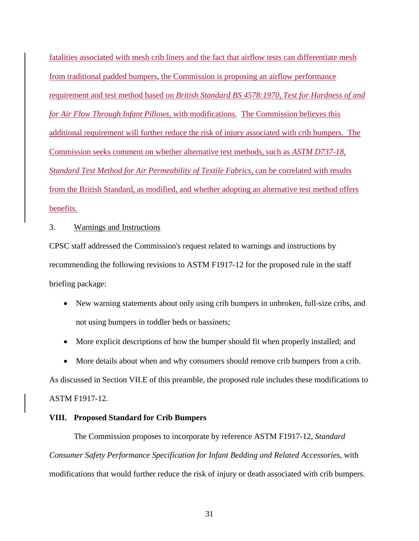fatalities associated with mesh crib liners and the fact that airflow tests can differentiate mesh from traditional padded bumpers, the Commission is proposing an airflow performance requirement and test method based on *British Standard BS 4578:1970*, *Test for Hardness of and for Air Flow Through Infant Pillows*, with modifications. The Commission believes this additional requirement will further reduce the risk of injury associated with crib bumpers. The Commission seeks comment on whether alternative test methods, such as *ASTM D737-18, Standard Test Method for Air Permeability of Textile Fabrics*, can be correlated with results from the British Standard, as modified, and whether adopting an alternative test method offers benefits.

#### 3. Warnings and Instructions

CPSC staff addressed the Commission's request related to warnings and instructions by recommending the following revisions to ASTM F1917-12 for the proposed rule in the staff briefing package:

- New warning statements about only using crib bumpers in unbroken, full-size cribs, and not using bumpers in toddler beds or bassinets;
- More explicit descriptions of how the bumper should fit when properly installed; and
- More details about when and why consumers should remove crib bumpers from a crib.

As discussed in Section VII.E of this preamble, the proposed rule includes these modifications to ASTM F1917-12.

#### **VIII. Proposed Standard for Crib Bumpers**

The Commission proposes to incorporate by reference ASTM F1917-12, *Standard Consumer Safety Performance Specification for Infant Bedding and Related Accessories,* with modifications that would further reduce the risk of injury or death associated with crib bumpers.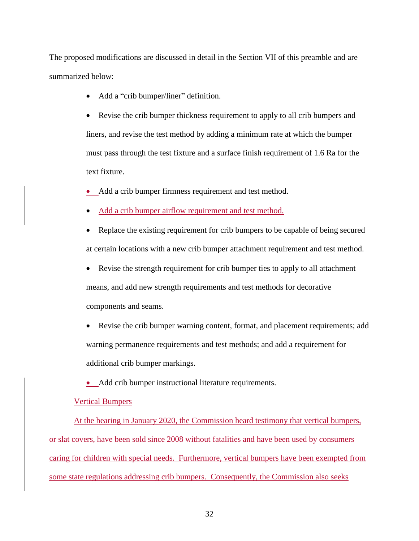The proposed modifications are discussed in detail in the Section VII of this preamble and are summarized below:

- Add a "crib bumper/liner" definition.
- Revise the crib bumper thickness requirement to apply to all crib bumpers and liners, and revise the test method by adding a minimum rate at which the bumper must pass through the test fixture and a surface finish requirement of 1.6 Ra for the text fixture.

• Add a crib bumper firmness requirement and test method.

- Add a crib bumper airflow requirement and test method.
- Replace the existing requirement for crib bumpers to be capable of being secured at certain locations with a new crib bumper attachment requirement and test method.
- Revise the strength requirement for crib bumper ties to apply to all attachment means, and add new strength requirements and test methods for decorative components and seams.
- Revise the crib bumper warning content, format, and placement requirements; add warning permanence requirements and test methods; and add a requirement for additional crib bumper markings.
- Add crib bumper instructional literature requirements.

#### Vertical Bumpers

At the hearing in January 2020, the Commission heard testimony that vertical bumpers, or slat covers, have been sold since 2008 without fatalities and have been used by consumers caring for children with special needs. Furthermore, vertical bumpers have been exempted from some state regulations addressing crib bumpers. Consequently, the Commission also seeks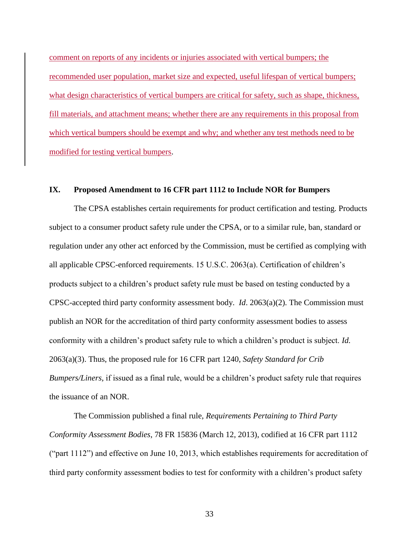comment on reports of any incidents or injuries associated with vertical bumpers; the recommended user population, market size and expected, useful lifespan of vertical bumpers; what design characteristics of vertical bumpers are critical for safety, such as shape, thickness, fill materials, and attachment means; whether there are any requirements in this proposal from which vertical bumpers should be exempt and why; and whether any test methods need to be modified for testing vertical bumpers.

#### **IX. Proposed Amendment to 16 CFR part 1112 to Include NOR for Bumpers**

The CPSA establishes certain requirements for product certification and testing. Products subject to a consumer product safety rule under the CPSA, or to a similar rule, ban, standard or regulation under any other act enforced by the Commission, must be certified as complying with all applicable CPSC-enforced requirements. 15 U.S.C. 2063(a). Certification of children's products subject to a children's product safety rule must be based on testing conducted by a CPSC-accepted third party conformity assessment body. *Id*. 2063(a)(2). The Commission must publish an NOR for the accreditation of third party conformity assessment bodies to assess conformity with a children's product safety rule to which a children's product is subject. *Id.* 2063(a)(3). Thus, the proposed rule for 16 CFR part 1240, *Safety Standard for Crib Bumpers/Liners,* if issued as a final rule, would be a children's product safety rule that requires the issuance of an NOR.

The Commission published a final rule, *Requirements Pertaining to Third Party Conformity Assessment Bodies*, 78 FR 15836 (March 12, 2013), codified at 16 CFR part 1112 ("part 1112") and effective on June 10, 2013, which establishes requirements for accreditation of third party conformity assessment bodies to test for conformity with a children's product safety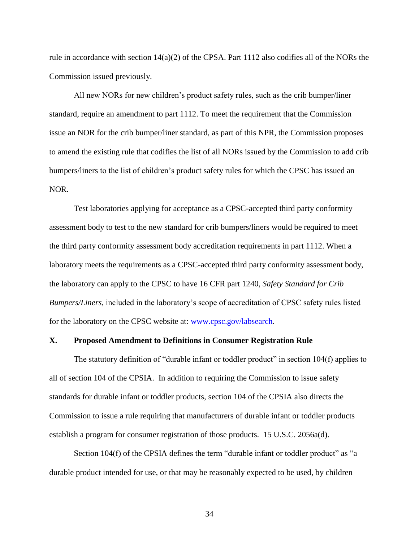rule in accordance with section  $14(a)(2)$  of the CPSA. Part 1112 also codifies all of the NORs the Commission issued previously.

All new NORs for new children's product safety rules, such as the crib bumper/liner standard, require an amendment to part 1112. To meet the requirement that the Commission issue an NOR for the crib bumper/liner standard, as part of this NPR, the Commission proposes to amend the existing rule that codifies the list of all NORs issued by the Commission to add crib bumpers/liners to the list of children's product safety rules for which the CPSC has issued an NOR.

Test laboratories applying for acceptance as a CPSC-accepted third party conformity assessment body to test to the new standard for crib bumpers/liners would be required to meet the third party conformity assessment body accreditation requirements in part 1112. When a laboratory meets the requirements as a CPSC-accepted third party conformity assessment body, the laboratory can apply to the CPSC to have 16 CFR part 1240, *Safety Standard for Crib Bumpers/Liners,* included in the laboratory's scope of accreditation of CPSC safety rules listed for the laboratory on the CPSC website at: [www.cpsc.gov/labsearch.](http://www.cpsc.gov/labsearch)

#### **X. Proposed Amendment to Definitions in Consumer Registration Rule**

The statutory definition of "durable infant or toddler product" in section 104(f) applies to all of section 104 of the CPSIA. In addition to requiring the Commission to issue safety standards for durable infant or toddler products, section 104 of the CPSIA also directs the Commission to issue a rule requiring that manufacturers of durable infant or toddler products establish a program for consumer registration of those products. 15 U.S.C. 2056a(d).

Section 104(f) of the CPSIA defines the term "durable infant or toddler product" as "a durable product intended for use, or that may be reasonably expected to be used, by children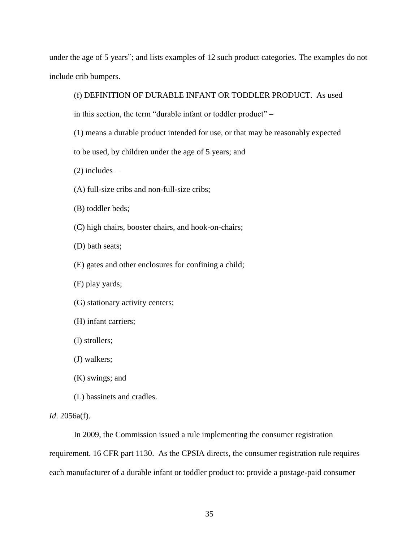under the age of 5 years"; and lists examples of 12 such product categories. The examples do not include crib bumpers.

(f) DEFINITION OF DURABLE INFANT OR TODDLER PRODUCT. As used

in this section, the term "durable infant or toddler product" –

- (1) means a durable product intended for use, or that may be reasonably expected
- to be used, by children under the age of 5 years; and

 $(2)$  includes –

- (A) full-size cribs and non-full-size cribs;
- (B) toddler beds;
- (C) high chairs, booster chairs, and hook-on-chairs;
- (D) bath seats;
- (E) gates and other enclosures for confining a child;
- (F) play yards;
- (G) stationary activity centers;
- (H) infant carriers;
- (I) strollers;
- (J) walkers;
- (K) swings; and
- (L) bassinets and cradles.

#### *Id*. 2056a(f).

In 2009, the Commission issued a rule implementing the consumer registration requirement. 16 CFR part 1130. As the CPSIA directs, the consumer registration rule requires each manufacturer of a durable infant or toddler product to: provide a postage-paid consumer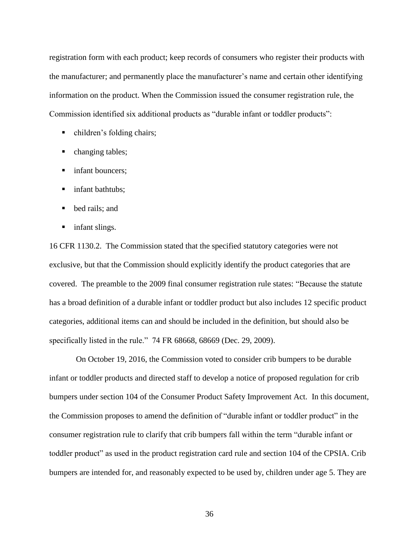registration form with each product; keep records of consumers who register their products with the manufacturer; and permanently place the manufacturer's name and certain other identifying information on the product. When the Commission issued the consumer registration rule, the Commission identified six additional products as "durable infant or toddler products":

- children's folding chairs;
- changing tables;
- **infant bouncers;**
- **infant bathtubs;**
- bed rails; and
- **i** infant slings.

16 CFR 1130.2. The Commission stated that the specified statutory categories were not exclusive, but that the Commission should explicitly identify the product categories that are covered. The preamble to the 2009 final consumer registration rule states: "Because the statute has a broad definition of a durable infant or toddler product but also includes 12 specific product categories, additional items can and should be included in the definition, but should also be specifically listed in the rule." 74 FR 68668, 68669 (Dec. 29, 2009).

On October 19, 2016, the Commission voted to consider crib bumpers to be durable infant or toddler products and directed staff to develop a notice of proposed regulation for crib bumpers under section 104 of the Consumer Product Safety Improvement Act. In this document, the Commission proposes to amend the definition of "durable infant or toddler product" in the consumer registration rule to clarify that crib bumpers fall within the term "durable infant or toddler product" as used in the product registration card rule and section 104 of the CPSIA. Crib bumpers are intended for, and reasonably expected to be used by, children under age 5. They are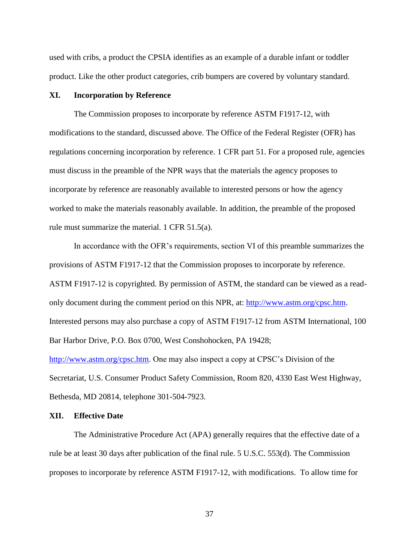used with cribs, a product the CPSIA identifies as an example of a durable infant or toddler product. Like the other product categories, crib bumpers are covered by voluntary standard.

## **XI. Incorporation by Reference**

The Commission proposes to incorporate by reference ASTM F1917-12, with modifications to the standard, discussed above. The Office of the Federal Register (OFR) has regulations concerning incorporation by reference. 1 CFR part 51. For a proposed rule, agencies must discuss in the preamble of the NPR ways that the materials the agency proposes to incorporate by reference are reasonably available to interested persons or how the agency worked to make the materials reasonably available. In addition, the preamble of the proposed rule must summarize the material. 1 CFR 51.5(a).

In accordance with the OFR's requirements, section VI of this preamble summarizes the provisions of ASTM F1917-12 that the Commission proposes to incorporate by reference. ASTM F1917-12 is copyrighted. By permission of ASTM, the standard can be viewed as a readonly document during the comment period on this NPR, at: [http://www.astm.org/cpsc.htm.](http://www.astm.org/cpsc.htm) Interested persons may also purchase a copy of ASTM F1917-12 from ASTM International, 100 Bar Harbor Drive, P.O. Box 0700, West Conshohocken, PA 19428; [http://www.astm.org/cpsc.htm.](http://www.astm.org/cpsc.htm) One may also inspect a copy at CPSC's Division of the Secretariat, U.S. Consumer Product Safety Commission, Room 820, 4330 East West Highway,

Bethesda, MD 20814, telephone 301-504-7923.

## **XII. Effective Date**

The Administrative Procedure Act (APA) generally requires that the effective date of a rule be at least 30 days after publication of the final rule. 5 U.S.C. 553(d). The Commission proposes to incorporate by reference ASTM F1917-12, with modifications. To allow time for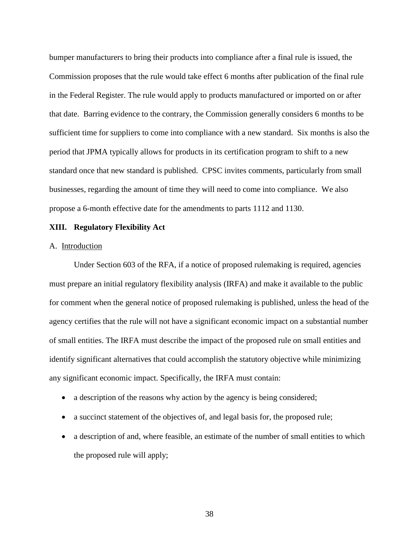bumper manufacturers to bring their products into compliance after a final rule is issued, the Commission proposes that the rule would take effect 6 months after publication of the final rule in the Federal Register. The rule would apply to products manufactured or imported on or after that date. Barring evidence to the contrary, the Commission generally considers 6 months to be sufficient time for suppliers to come into compliance with a new standard. Six months is also the period that JPMA typically allows for products in its certification program to shift to a new standard once that new standard is published. CPSC invites comments, particularly from small businesses, regarding the amount of time they will need to come into compliance. We also propose a 6-month effective date for the amendments to parts 1112 and 1130.

## **XIII. Regulatory Flexibility Act**

## A. Introduction

Under Section 603 of the RFA, if a notice of proposed rulemaking is required, agencies must prepare an initial regulatory flexibility analysis (IRFA) and make it available to the public for comment when the general notice of proposed rulemaking is published, unless the head of the agency certifies that the rule will not have a significant economic impact on a substantial number of small entities. The IRFA must describe the impact of the proposed rule on small entities and identify significant alternatives that could accomplish the statutory objective while minimizing any significant economic impact. Specifically, the IRFA must contain:

- a description of the reasons why action by the agency is being considered;
- a succinct statement of the objectives of, and legal basis for, the proposed rule;
- a description of and, where feasible, an estimate of the number of small entities to which the proposed rule will apply;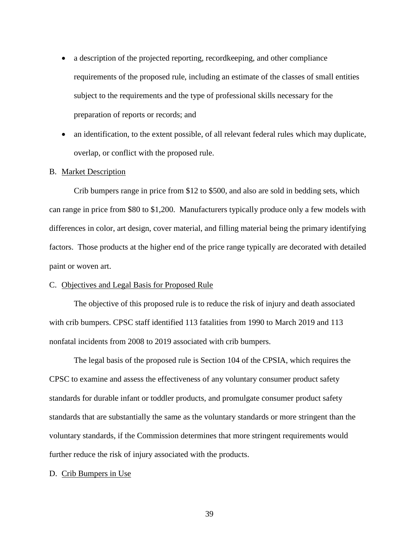- a description of the projected reporting, recordkeeping, and other compliance requirements of the proposed rule, including an estimate of the classes of small entities subject to the requirements and the type of professional skills necessary for the preparation of reports or records; and
- an identification, to the extent possible, of all relevant federal rules which may duplicate, overlap, or conflict with the proposed rule.

#### B. Market Description

Crib bumpers range in price from \$12 to \$500, and also are sold in bedding sets, which can range in price from \$80 to \$1,200. Manufacturers typically produce only a few models with differences in color, art design, cover material, and filling material being the primary identifying factors. Those products at the higher end of the price range typically are decorated with detailed paint or woven art.

#### C. Objectives and Legal Basis for Proposed Rule

The objective of this proposed rule is to reduce the risk of injury and death associated with crib bumpers. CPSC staff identified 113 fatalities from 1990 to March 2019 and 113 nonfatal incidents from 2008 to 2019 associated with crib bumpers.

The legal basis of the proposed rule is Section 104 of the CPSIA, which requires the CPSC to examine and assess the effectiveness of any voluntary consumer product safety standards for durable infant or toddler products, and promulgate consumer product safety standards that are substantially the same as the voluntary standards or more stringent than the voluntary standards, if the Commission determines that more stringent requirements would further reduce the risk of injury associated with the products.

#### D. Crib Bumpers in Use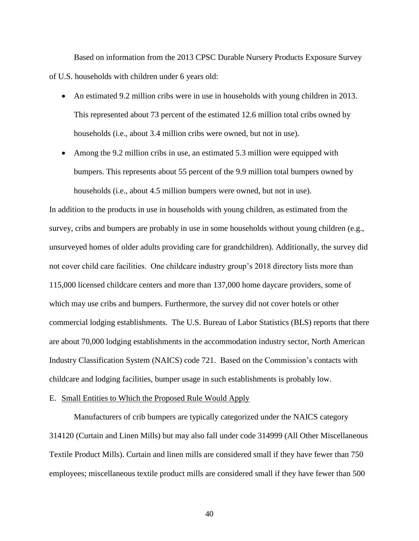Based on information from the 2013 CPSC Durable Nursery Products Exposure Survey of U.S. households with children under 6 years old:

- An estimated 9.2 million cribs were in use in households with young children in 2013. This represented about 73 percent of the estimated 12.6 million total cribs owned by households (i.e., about 3.4 million cribs were owned, but not in use).
- Among the 9.2 million cribs in use, an estimated 5.3 million were equipped with bumpers. This represents about 55 percent of the 9.9 million total bumpers owned by households (i.e., about 4.5 million bumpers were owned, but not in use).

In addition to the products in use in households with young children, as estimated from the survey, cribs and bumpers are probably in use in some households without young children (e.g., unsurveyed homes of older adults providing care for grandchildren). Additionally, the survey did not cover child care facilities. One childcare industry group's 2018 directory lists more than 115,000 licensed childcare centers and more than 137,000 home daycare providers, some of which may use cribs and bumpers. Furthermore, the survey did not cover hotels or other commercial lodging establishments. The U.S. Bureau of Labor Statistics (BLS) reports that there are about 70,000 lodging establishments in the accommodation industry sector, North American Industry Classification System (NAICS) code 721. Based on the Commission's contacts with childcare and lodging facilities, bumper usage in such establishments is probably low.

## E. Small Entities to Which the Proposed Rule Would Apply

Manufacturers of crib bumpers are typically categorized under the NAICS category 314120 (Curtain and Linen Mills) but may also fall under code 314999 (All Other Miscellaneous Textile Product Mills). Curtain and linen mills are considered small if they have fewer than 750 employees; miscellaneous textile product mills are considered small if they have fewer than 500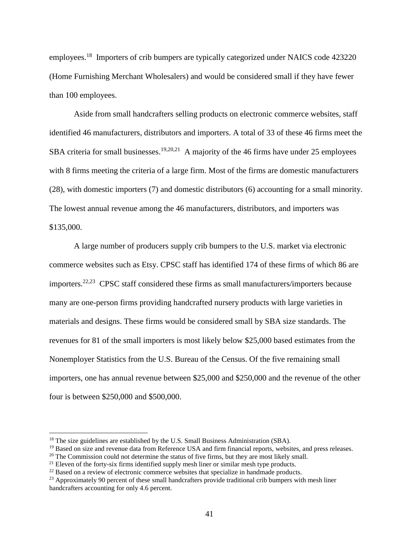employees.<sup>18</sup> Importers of crib bumpers are typically categorized under NAICS code 423220 (Home Furnishing Merchant Wholesalers) and would be considered small if they have fewer than 100 employees.

Aside from small handcrafters selling products on electronic commerce websites, staff identified 46 manufacturers, distributors and importers. A total of 33 of these 46 firms meet the SBA criteria for small businesses.<sup>19,20,21</sup> A majority of the 46 firms have under 25 employees with 8 firms meeting the criteria of a large firm. Most of the firms are domestic manufacturers (28), with domestic importers (7) and domestic distributors (6) accounting for a small minority. The lowest annual revenue among the 46 manufacturers, distributors, and importers was \$135,000.

A large number of producers supply crib bumpers to the U.S. market via electronic commerce websites such as Etsy. CPSC staff has identified 174 of these firms of which 86 are importers.<sup>22,23</sup> CPSC staff considered these firms as small manufacturers/importers because many are one-person firms providing handcrafted nursery products with large varieties in materials and designs. These firms would be considered small by SBA size standards. The revenues for 81 of the small importers is most likely below \$25,000 based estimates from the Nonemployer Statistics from the U.S. Bureau of the Census. Of the five remaining small importers, one has annual revenue between \$25,000 and \$250,000 and the revenue of the other four is between \$250,000 and \$500,000.

<sup>&</sup>lt;sup>18</sup> The size guidelines are established by the U.S. Small Business Administration (SBA).

<sup>&</sup>lt;sup>19</sup> Based on size and revenue data from Reference USA and firm financial reports, websites, and press releases.

 $20$  The Commission could not determine the status of five firms, but they are most likely small.

 $21$  Eleven of the forty-six firms identified supply mesh liner or similar mesh type products.

<sup>&</sup>lt;sup>22</sup> Based on a review of electronic commerce websites that specialize in handmade products.

<sup>&</sup>lt;sup>23</sup> Approximately 90 percent of these small handcrafters provide traditional crib bumpers with mesh liner handcrafters accounting for only 4.6 percent.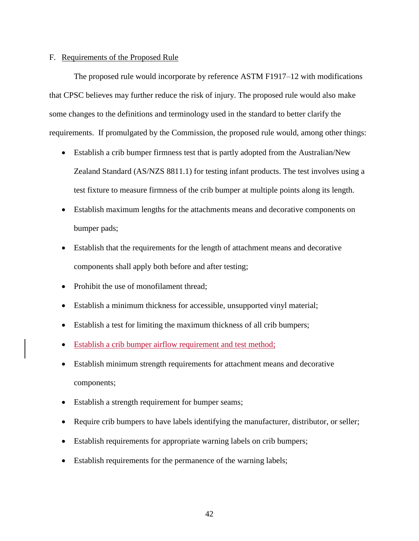#### F. Requirements of the Proposed Rule

The proposed rule would incorporate by reference ASTM F1917–12 with modifications that CPSC believes may further reduce the risk of injury. The proposed rule would also make some changes to the definitions and terminology used in the standard to better clarify the requirements. If promulgated by the Commission, the proposed rule would, among other things:

- Establish a crib bumper firmness test that is partly adopted from the Australian/New Zealand Standard (AS/NZS 8811.1) for testing infant products. The test involves using a test fixture to measure firmness of the crib bumper at multiple points along its length.
- Establish maximum lengths for the attachments means and decorative components on bumper pads;
- Establish that the requirements for the length of attachment means and decorative components shall apply both before and after testing;
- Prohibit the use of monofilament thread;
- Establish a minimum thickness for accessible, unsupported vinyl material;
- Establish a test for limiting the maximum thickness of all crib bumpers;
- Establish a crib bumper airflow requirement and test method;
- Establish minimum strength requirements for attachment means and decorative components;
- Establish a strength requirement for bumper seams;
- Require crib bumpers to have labels identifying the manufacturer, distributor, or seller;
- Establish requirements for appropriate warning labels on crib bumpers;
- Establish requirements for the permanence of the warning labels;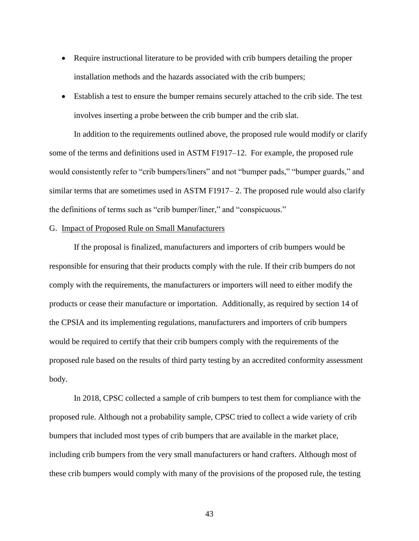- Require instructional literature to be provided with crib bumpers detailing the proper installation methods and the hazards associated with the crib bumpers;
- Establish a test to ensure the bumper remains securely attached to the crib side. The test involves inserting a probe between the crib bumper and the crib slat.

In addition to the requirements outlined above, the proposed rule would modify or clarify some of the terms and definitions used in ASTM F1917–12. For example, the proposed rule would consistently refer to "crib bumpers/liners" and not "bumper pads," "bumper guards," and similar terms that are sometimes used in ASTM F1917– 2. The proposed rule would also clarify the definitions of terms such as "crib bumper/liner," and "conspicuous."

#### G. Impact of Proposed Rule on Small Manufacturers

If the proposal is finalized, manufacturers and importers of crib bumpers would be responsible for ensuring that their products comply with the rule. If their crib bumpers do not comply with the requirements, the manufacturers or importers will need to either modify the products or cease their manufacture or importation. Additionally, as required by section 14 of the CPSIA and its implementing regulations, manufacturers and importers of crib bumpers would be required to certify that their crib bumpers comply with the requirements of the proposed rule based on the results of third party testing by an accredited conformity assessment body.

In 2018, CPSC collected a sample of crib bumpers to test them for compliance with the proposed rule. Although not a probability sample, CPSC tried to collect a wide variety of crib bumpers that included most types of crib bumpers that are available in the market place, including crib bumpers from the very small manufacturers or hand crafters. Although most of these crib bumpers would comply with many of the provisions of the proposed rule, the testing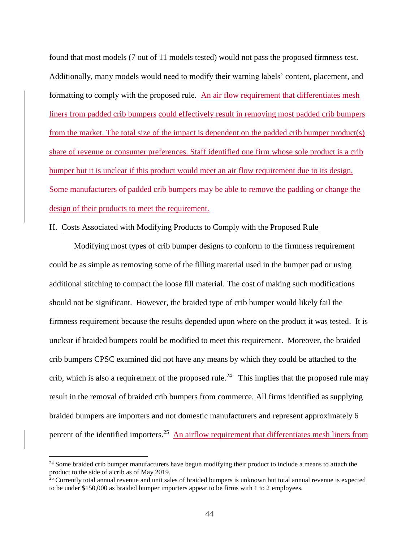found that most models (7 out of 11 models tested) would not pass the proposed firmness test. Additionally, many models would need to modify their warning labels' content, placement, and formatting to comply with the proposed rule. An air flow requirement that differentiates mesh liners from padded crib bumpers could effectively result in removing most padded crib bumpers from the market. The total size of the impact is dependent on the padded crib bumper product(s) share of revenue or consumer preferences. Staff identified one firm whose sole product is a crib bumper but it is unclear if this product would meet an air flow requirement due to its design. Some manufacturers of padded crib bumpers may be able to remove the padding or change the design of their products to meet the requirement.

#### H. Costs Associated with Modifying Products to Comply with the Proposed Rule

Modifying most types of crib bumper designs to conform to the firmness requirement could be as simple as removing some of the filling material used in the bumper pad or using additional stitching to compact the loose fill material. The cost of making such modifications should not be significant. However, the braided type of crib bumper would likely fail the firmness requirement because the results depended upon where on the product it was tested. It is unclear if braided bumpers could be modified to meet this requirement. Moreover, the braided crib bumpers CPSC examined did not have any means by which they could be attached to the crib, which is also a requirement of the proposed rule.<sup>24</sup> This implies that the proposed rule may result in the removal of braided crib bumpers from commerce. All firms identified as supplying braided bumpers are importers and not domestic manufacturers and represent approximately 6 percent of the identified importers.<sup>25</sup> An airflow requirement that differentiates mesh liners from

<sup>&</sup>lt;sup>24</sup> Some braided crib bumper manufacturers have begun modifying their product to include a means to attach the product to the side of a crib as of May 2019.

<sup>&</sup>lt;sup>25</sup> Currently total annual revenue and unit sales of braided bumpers is unknown but total annual revenue is expected to be under \$150,000 as braided bumper importers appear to be firms with 1 to 2 employees.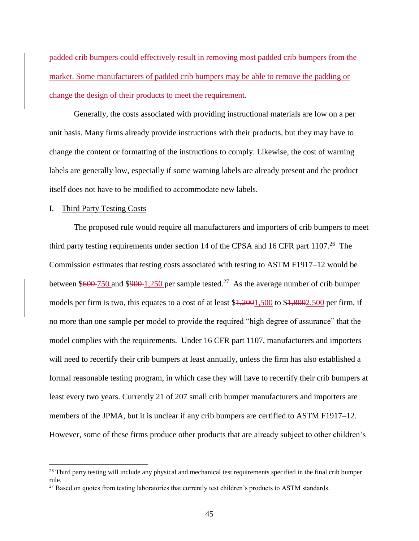padded crib bumpers could effectively result in removing most padded crib bumpers from the market. Some manufacturers of padded crib bumpers may be able to remove the padding or change the design of their products to meet the requirement.

Generally, the costs associated with providing instructional materials are low on a per unit basis. Many firms already provide instructions with their products, but they may have to change the content or formatting of the instructions to comply. Likewise, the cost of warning labels are generally low, especially if some warning labels are already present and the product itself does not have to be modified to accommodate new labels.

#### I. Third Party Testing Costs

The proposed rule would require all manufacturers and importers of crib bumpers to meet third party testing requirements under section 14 of the CPSA and 16 CFR part  $1107<sup>26</sup>$  The Commission estimates that testing costs associated with testing to ASTM F1917–12 would be between  $$600-750$  and  $$900-1,250$  per sample tested.<sup>27</sup> As the average number of crib bumper models per firm is two, this equates to a cost of at least  $\frac{1,2001,500}{1,8002,500}$  per firm, if no more than one sample per model to provide the required "high degree of assurance" that the model complies with the requirements. Under 16 CFR part 1107, manufacturers and importers will need to recertify their crib bumpers at least annually, unless the firm has also established a formal reasonable testing program, in which case they will have to recertify their crib bumpers at least every two years. Currently 21 of 207 small crib bumper manufacturers and importers are members of the JPMA, but it is unclear if any crib bumpers are certified to ASTM F1917–12. However, some of these firms produce other products that are already subject to other children's

<sup>&</sup>lt;sup>26</sup> Third party testing will include any physical and mechanical test requirements specified in the final crib bumper rule.

<sup>&</sup>lt;sup>27</sup> Based on quotes from testing laboratories that currently test children's products to ASTM standards.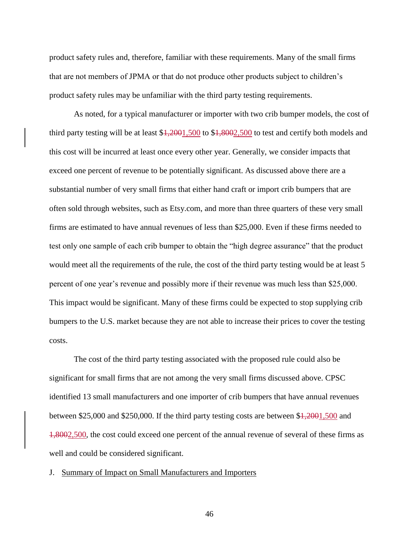product safety rules and, therefore, familiar with these requirements. Many of the small firms that are not members of JPMA or that do not produce other products subject to children's product safety rules may be unfamiliar with the third party testing requirements.

As noted, for a typical manufacturer or importer with two crib bumper models, the cost of third party testing will be at least \$1,2001,500 to \$1,8002,500 to test and certify both models and this cost will be incurred at least once every other year. Generally, we consider impacts that exceed one percent of revenue to be potentially significant. As discussed above there are a substantial number of very small firms that either hand craft or import crib bumpers that are often sold through websites, such as Etsy.com, and more than three quarters of these very small firms are estimated to have annual revenues of less than \$25,000. Even if these firms needed to test only one sample of each crib bumper to obtain the "high degree assurance" that the product would meet all the requirements of the rule, the cost of the third party testing would be at least 5 percent of one year's revenue and possibly more if their revenue was much less than \$25,000. This impact would be significant. Many of these firms could be expected to stop supplying crib bumpers to the U.S. market because they are not able to increase their prices to cover the testing costs.

The cost of the third party testing associated with the proposed rule could also be significant for small firms that are not among the very small firms discussed above. CPSC identified 13 small manufacturers and one importer of crib bumpers that have annual revenues between \$25,000 and \$250,000. If the third party testing costs are between \$1,2001,500 and 1,8002,500, the cost could exceed one percent of the annual revenue of several of these firms as well and could be considered significant.

J. Summary of Impact on Small Manufacturers and Importers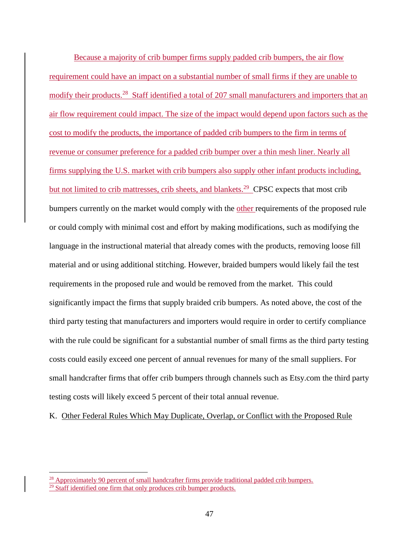Because a majority of crib bumper firms supply padded crib bumpers, the air flow requirement could have an impact on a substantial number of small firms if they are unable to modify their products.<sup>28</sup> Staff identified a total of 207 small manufacturers and importers that an air flow requirement could impact. The size of the impact would depend upon factors such as the cost to modify the products, the importance of padded crib bumpers to the firm in terms of revenue or consumer preference for a padded crib bumper over a thin mesh liner. Nearly all firms supplying the U.S. market with crib bumpers also supply other infant products including, but not limited to crib mattresses, crib sheets, and blankets.<sup>29</sup> CPSC expects that most crib bumpers currently on the market would comply with the other requirements of the proposed rule or could comply with minimal cost and effort by making modifications, such as modifying the language in the instructional material that already comes with the products, removing loose fill material and or using additional stitching. However, braided bumpers would likely fail the test requirements in the proposed rule and would be removed from the market. This could significantly impact the firms that supply braided crib bumpers. As noted above, the cost of the third party testing that manufacturers and importers would require in order to certify compliance with the rule could be significant for a substantial number of small firms as the third party testing costs could easily exceed one percent of annual revenues for many of the small suppliers. For small handcrafter firms that offer crib bumpers through channels such as Etsy.com the third party testing costs will likely exceed 5 percent of their total annual revenue.

K. Other Federal Rules Which May Duplicate, Overlap, or Conflict with the Proposed Rule

 $^{28}$  Approximately 90 percent of small handcrafter firms provide traditional padded crib bumpers.  $29$  Staff identified one firm that only produces crib bumper products.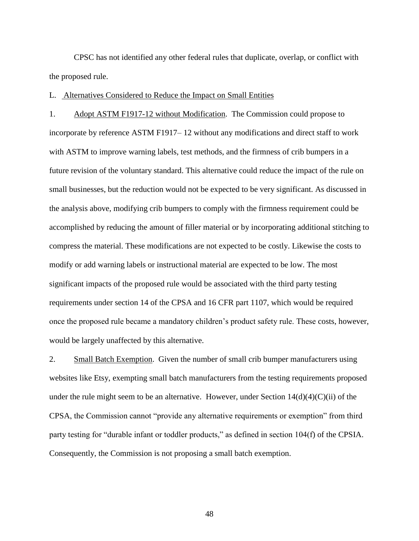CPSC has not identified any other federal rules that duplicate, overlap, or conflict with the proposed rule.

## L. Alternatives Considered to Reduce the Impact on Small Entities

1. Adopt ASTM F1917-12 without Modification. The Commission could propose to incorporate by reference ASTM F1917– 12 without any modifications and direct staff to work with ASTM to improve warning labels, test methods, and the firmness of crib bumpers in a future revision of the voluntary standard. This alternative could reduce the impact of the rule on small businesses, but the reduction would not be expected to be very significant. As discussed in the analysis above, modifying crib bumpers to comply with the firmness requirement could be accomplished by reducing the amount of filler material or by incorporating additional stitching to compress the material. These modifications are not expected to be costly. Likewise the costs to modify or add warning labels or instructional material are expected to be low. The most significant impacts of the proposed rule would be associated with the third party testing requirements under section 14 of the CPSA and 16 CFR part 1107, which would be required once the proposed rule became a mandatory children's product safety rule. These costs, however, would be largely unaffected by this alternative.

2. Small Batch Exemption. Given the number of small crib bumper manufacturers using websites like Etsy, exempting small batch manufacturers from the testing requirements proposed under the rule might seem to be an alternative. However, under Section  $14(d)(4)(C)(ii)$  of the CPSA, the Commission cannot "provide any alternative requirements or exemption" from third party testing for "durable infant or toddler products," as defined in section 104(f) of the CPSIA. Consequently, the Commission is not proposing a small batch exemption.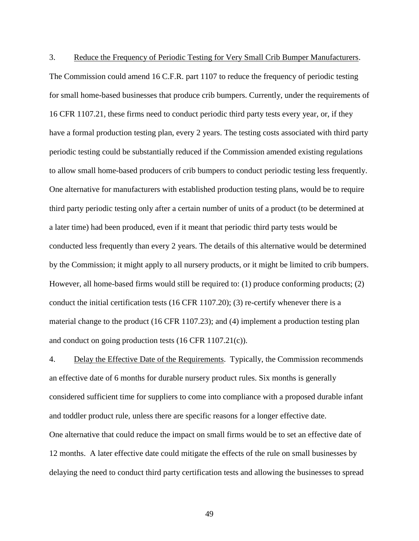3. Reduce the Frequency of Periodic Testing for Very Small Crib Bumper Manufacturers. The Commission could amend 16 C.F.R. part 1107 to reduce the frequency of periodic testing for small home-based businesses that produce crib bumpers. Currently, under the requirements of 16 CFR 1107.21, these firms need to conduct periodic third party tests every year, or, if they have a formal production testing plan, every 2 years. The testing costs associated with third party periodic testing could be substantially reduced if the Commission amended existing regulations to allow small home-based producers of crib bumpers to conduct periodic testing less frequently. One alternative for manufacturers with established production testing plans, would be to require third party periodic testing only after a certain number of units of a product (to be determined at a later time) had been produced, even if it meant that periodic third party tests would be conducted less frequently than every 2 years. The details of this alternative would be determined by the Commission; it might apply to all nursery products, or it might be limited to crib bumpers. However, all home-based firms would still be required to: (1) produce conforming products; (2) conduct the initial certification tests (16 CFR 1107.20); (3) re-certify whenever there is a material change to the product (16 CFR 1107.23); and (4) implement a production testing plan and conduct on going production tests (16 CFR 1107.21(c)).

4. Delay the Effective Date of the Requirements. Typically, the Commission recommends an effective date of 6 months for durable nursery product rules. Six months is generally considered sufficient time for suppliers to come into compliance with a proposed durable infant and toddler product rule, unless there are specific reasons for a longer effective date. One alternative that could reduce the impact on small firms would be to set an effective date of 12 months. A later effective date could mitigate the effects of the rule on small businesses by delaying the need to conduct third party certification tests and allowing the businesses to spread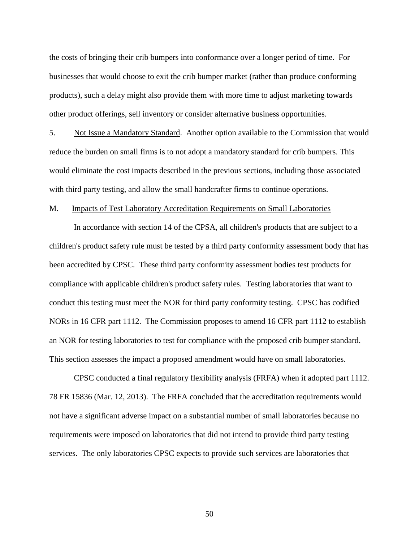the costs of bringing their crib bumpers into conformance over a longer period of time. For businesses that would choose to exit the crib bumper market (rather than produce conforming products), such a delay might also provide them with more time to adjust marketing towards other product offerings, sell inventory or consider alternative business opportunities.

5. Not Issue a Mandatory Standard. Another option available to the Commission that would reduce the burden on small firms is to not adopt a mandatory standard for crib bumpers. This would eliminate the cost impacts described in the previous sections, including those associated with third party testing, and allow the small handcrafter firms to continue operations.

#### M. Impacts of Test Laboratory Accreditation Requirements on Small Laboratories

In accordance with section 14 of the CPSA, all children's products that are subject to a children's product safety rule must be tested by a third party conformity assessment body that has been accredited by CPSC. These third party conformity assessment bodies test products for compliance with applicable children's product safety rules. Testing laboratories that want to conduct this testing must meet the NOR for third party conformity testing. CPSC has codified NORs in 16 CFR part 1112. The Commission proposes to amend 16 CFR part 1112 to establish an NOR for testing laboratories to test for compliance with the proposed crib bumper standard. This section assesses the impact a proposed amendment would have on small laboratories.

CPSC conducted a final regulatory flexibility analysis (FRFA) when it adopted part 1112. 78 FR 15836 (Mar. 12, 2013). The FRFA concluded that the accreditation requirements would not have a significant adverse impact on a substantial number of small laboratories because no requirements were imposed on laboratories that did not intend to provide third party testing services. The only laboratories CPSC expects to provide such services are laboratories that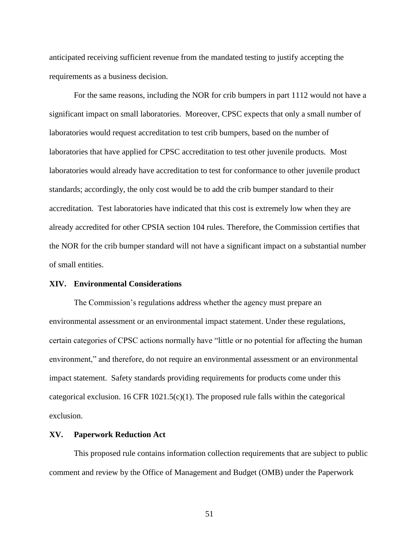anticipated receiving sufficient revenue from the mandated testing to justify accepting the requirements as a business decision.

For the same reasons, including the NOR for crib bumpers in part 1112 would not have a significant impact on small laboratories. Moreover, CPSC expects that only a small number of laboratories would request accreditation to test crib bumpers, based on the number of laboratories that have applied for CPSC accreditation to test other juvenile products. Most laboratories would already have accreditation to test for conformance to other juvenile product standards; accordingly, the only cost would be to add the crib bumper standard to their accreditation. Test laboratories have indicated that this cost is extremely low when they are already accredited for other CPSIA section 104 rules. Therefore, the Commission certifies that the NOR for the crib bumper standard will not have a significant impact on a substantial number of small entities.

#### **XIV. Environmental Considerations**

The Commission's regulations address whether the agency must prepare an environmental assessment or an environmental impact statement. Under these regulations, certain categories of CPSC actions normally have "little or no potential for affecting the human environment," and therefore, do not require an environmental assessment or an environmental impact statement. Safety standards providing requirements for products come under this categorical exclusion. 16 CFR  $1021.5(c)(1)$ . The proposed rule falls within the categorical exclusion.

#### **XV. Paperwork Reduction Act**

This proposed rule contains information collection requirements that are subject to public comment and review by the Office of Management and Budget (OMB) under the Paperwork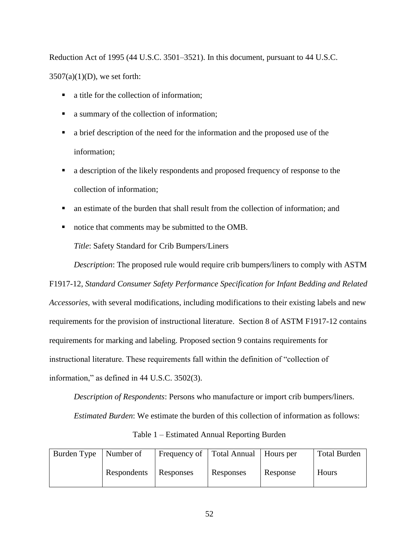Reduction Act of 1995 (44 U.S.C. 3501–3521). In this document, pursuant to 44 U.S.C.  $3507(a)(1)(D)$ , we set forth:

- a title for the collection of information:
- a summary of the collection of information;
- a brief description of the need for the information and the proposed use of the information;
- a description of the likely respondents and proposed frequency of response to the collection of information;
- an estimate of the burden that shall result from the collection of information; and
- notice that comments may be submitted to the OMB.

*Title*: Safety Standard for Crib Bumpers/Liners

*Description*: The proposed rule would require crib bumpers/liners to comply with ASTM

F1917-12, *Standard Consumer Safety Performance Specification for Infant Bedding and Related Accessories,* with several modifications, including modifications to their existing labels and new requirements for the provision of instructional literature. Section 8 of ASTM F1917-12 contains requirements for marking and labeling. Proposed section 9 contains requirements for instructional literature. These requirements fall within the definition of "collection of information," as defined in 44 U.S.C. 3502(3).

*Description of Respondents*: Persons who manufacture or import crib bumpers/liners.

*Estimated Burden*: We estimate the burden of this collection of information as follows:

| Table 1 – Estimated Annual Reporting Burden |
|---------------------------------------------|
|---------------------------------------------|

| Burden Type | Number of   | Frequency of Total Annual |           | Hours per | <b>Total Burden</b> |
|-------------|-------------|---------------------------|-----------|-----------|---------------------|
|             | Respondents | Responses                 | Responses | Response  | Hours               |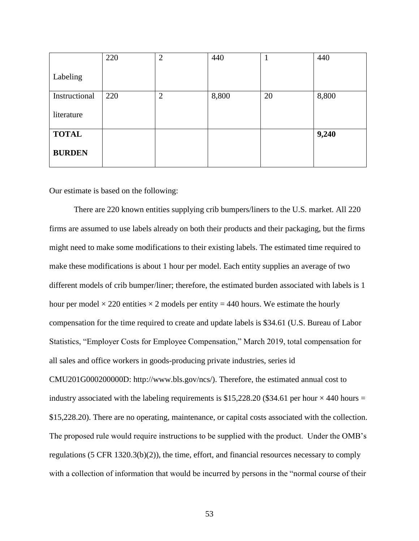|               | 220 | $\overline{2}$ | 440   |    | 440   |
|---------------|-----|----------------|-------|----|-------|
| Labeling      |     |                |       |    |       |
| Instructional | 220 | $\overline{2}$ | 8,800 | 20 | 8,800 |
| literature    |     |                |       |    |       |
| <b>TOTAL</b>  |     |                |       |    | 9,240 |
| <b>BURDEN</b> |     |                |       |    |       |

Our estimate is based on the following:

There are 220 known entities supplying crib bumpers/liners to the U.S. market. All 220 firms are assumed to use labels already on both their products and their packaging, but the firms might need to make some modifications to their existing labels. The estimated time required to make these modifications is about 1 hour per model. Each entity supplies an average of two different models of crib bumper/liner; therefore, the estimated burden associated with labels is 1 hour per model  $\times$  220 entities  $\times$  2 models per entity = 440 hours. We estimate the hourly compensation for the time required to create and update labels is \$34.61 (U.S. Bureau of Labor Statistics, "Employer Costs for Employee Compensation," March 2019, total compensation for all sales and office workers in goods-producing private industries, series id CMU201G000200000D: http://www.bls.gov/ncs/). Therefore, the estimated annual cost to industry associated with the labeling requirements is \$15,228.20 (\$34.61 per hour  $\times$  440 hours = \$15,228.20). There are no operating, maintenance, or capital costs associated with the collection. The proposed rule would require instructions to be supplied with the product. Under the OMB's regulations (5 CFR 1320.3(b)(2)), the time, effort, and financial resources necessary to comply with a collection of information that would be incurred by persons in the "normal course of their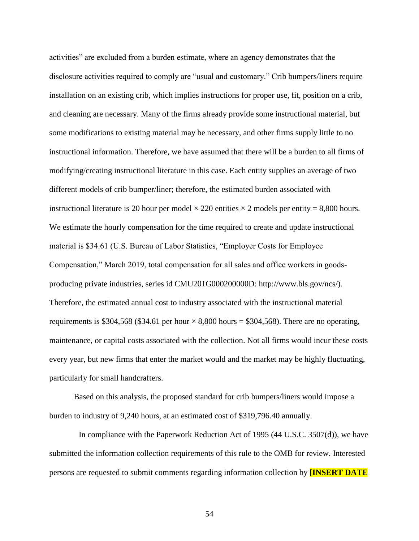activities" are excluded from a burden estimate, where an agency demonstrates that the disclosure activities required to comply are "usual and customary." Crib bumpers/liners require installation on an existing crib, which implies instructions for proper use, fit, position on a crib, and cleaning are necessary. Many of the firms already provide some instructional material, but some modifications to existing material may be necessary, and other firms supply little to no instructional information. Therefore, we have assumed that there will be a burden to all firms of modifying/creating instructional literature in this case. Each entity supplies an average of two different models of crib bumper/liner; therefore, the estimated burden associated with instructional literature is 20 hour per model  $\times$  220 entities  $\times$  2 models per entity = 8,800 hours. We estimate the hourly compensation for the time required to create and update instructional material is \$34.61 (U.S. Bureau of Labor Statistics, "Employer Costs for Employee Compensation," March 2019, total compensation for all sales and office workers in goodsproducing private industries, series id CMU201G000200000D: http://www.bls.gov/ncs/). Therefore, the estimated annual cost to industry associated with the instructional material requirements is \$304,568 (\$34.61 per hour  $\times$  8,800 hours = \$304,568). There are no operating, maintenance, or capital costs associated with the collection. Not all firms would incur these costs every year, but new firms that enter the market would and the market may be highly fluctuating, particularly for small handcrafters.

Based on this analysis, the proposed standard for crib bumpers/liners would impose a burden to industry of 9,240 hours, at an estimated cost of \$319,796.40 annually.

In compliance with the Paperwork Reduction Act of 1995 (44 U.S.C. 3507(d)), we have submitted the information collection requirements of this rule to the OMB for review. Interested persons are requested to submit comments regarding information collection by **[INSERT DATE**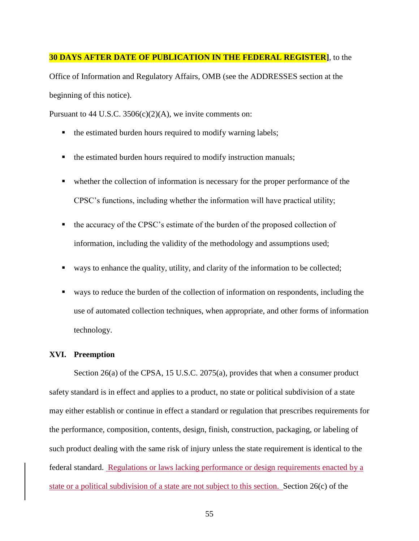#### **30 DAYS AFTER DATE OF PUBLICATION IN THE FEDERAL REGISTER]**, to the

Office of Information and Regulatory Affairs, OMB (see the ADDRESSES section at the beginning of this notice).

Pursuant to 44 U.S.C.  $3506(c)(2)(A)$ , we invite comments on:

- $\blacksquare$  the estimated burden hours required to modify warning labels;
- the estimated burden hours required to modify instruction manuals;
- whether the collection of information is necessary for the proper performance of the CPSC's functions, including whether the information will have practical utility;
- $\blacksquare$  the accuracy of the CPSC's estimate of the burden of the proposed collection of information, including the validity of the methodology and assumptions used;
- ways to enhance the quality, utility, and clarity of the information to be collected;
- ways to reduce the burden of the collection of information on respondents, including the use of automated collection techniques, when appropriate, and other forms of information technology.

#### **XVI. Preemption**

Section 26(a) of the CPSA, 15 U.S.C. 2075(a), provides that when a consumer product safety standard is in effect and applies to a product, no state or political subdivision of a state may either establish or continue in effect a standard or regulation that prescribes requirements for the performance, composition, contents, design, finish, construction, packaging, or labeling of such product dealing with the same risk of injury unless the state requirement is identical to the federal standard. Regulations or laws lacking performance or design requirements enacted by a state or a political subdivision of a state are not subject to this section. Section 26(c) of the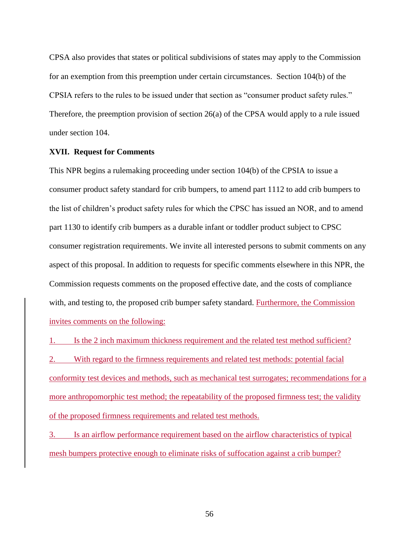CPSA also provides that states or political subdivisions of states may apply to the Commission for an exemption from this preemption under certain circumstances. Section 104(b) of the CPSIA refers to the rules to be issued under that section as "consumer product safety rules." Therefore, the preemption provision of section 26(a) of the CPSA would apply to a rule issued under section 104.

#### **XVII. Request for Comments**

This NPR begins a rulemaking proceeding under section 104(b) of the CPSIA to issue a consumer product safety standard for crib bumpers, to amend part 1112 to add crib bumpers to the list of children's product safety rules for which the CPSC has issued an NOR, and to amend part 1130 to identify crib bumpers as a durable infant or toddler product subject to CPSC consumer registration requirements. We invite all interested persons to submit comments on any aspect of this proposal. In addition to requests for specific comments elsewhere in this NPR, the Commission requests comments on the proposed effective date, and the costs of compliance with, and testing to, the proposed crib bumper safety standard. Furthermore, the Commission invites comments on the following:

1. Is the 2 inch maximum thickness requirement and the related test method sufficient?

2. With regard to the firmness requirements and related test methods: potential facial conformity test devices and methods, such as mechanical test surrogates; recommendations for a more anthropomorphic test method; the repeatability of the proposed firmness test; the validity of the proposed firmness requirements and related test methods.

3. Is an airflow performance requirement based on the airflow characteristics of typical mesh bumpers protective enough to eliminate risks of suffocation against a crib bumper?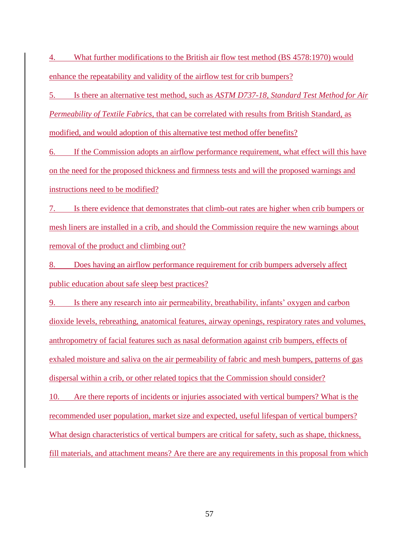4. What further modifications to the British air flow test method (BS 4578:1970) would enhance the repeatability and validity of the airflow test for crib bumpers?

5. Is there an alternative test method, such as *ASTM D737-18, Standard Test Method for Air Permeability of Textile Fabrics*, that can be correlated with results from British Standard, as modified, and would adoption of this alternative test method offer benefits?

6. If the Commission adopts an airflow performance requirement, what effect will this have on the need for the proposed thickness and firmness tests and will the proposed warnings and instructions need to be modified?

7. Is there evidence that demonstrates that climb-out rates are higher when crib bumpers or mesh liners are installed in a crib, and should the Commission require the new warnings about removal of the product and climbing out?

8. Does having an airflow performance requirement for crib bumpers adversely affect public education about safe sleep best practices?

9. Is there any research into air permeability, breathability, infants' oxygen and carbon dioxide levels, rebreathing, anatomical features, airway openings, respiratory rates and volumes, anthropometry of facial features such as nasal deformation against crib bumpers, effects of exhaled moisture and saliva on the air permeability of fabric and mesh bumpers, patterns of gas dispersal within a crib, or other related topics that the Commission should consider?

10. Are there reports of incidents or injuries associated with vertical bumpers? What is the recommended user population, market size and expected, useful lifespan of vertical bumpers? What design characteristics of vertical bumpers are critical for safety, such as shape, thickness, fill materials, and attachment means? Are there are any requirements in this proposal from which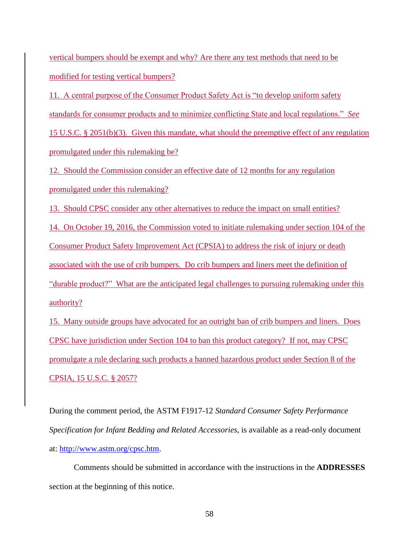vertical bumpers should be exempt and why? Are there any test methods that need to be modified for testing vertical bumpers?

11. A central purpose of the Consumer Product Safety Act is "to develop uniform safety standards for consumer products and to minimize conflicting State and local regulations." *See* 15 U.S.C. § 2051(b)(3). Given this mandate, what should the preemptive effect of any regulation promulgated under this rulemaking be?

12. Should the Commission consider an effective date of 12 months for any regulation promulgated under this rulemaking?

13. Should CPSC consider any other alternatives to reduce the impact on small entities?

14. On October 19, 2016, the Commission voted to initiate rulemaking under section 104 of the Consumer Product Safety Improvement Act (CPSIA) to address the risk of injury or death associated with the use of crib bumpers. Do crib bumpers and liners meet the definition of "durable product?" What are the anticipated legal challenges to pursuing rulemaking under this authority?

15. Many outside groups have advocated for an outright ban of crib bumpers and liners. Does CPSC have jurisdiction under Section 104 to ban this product category? If not, may CPSC promulgate a rule declaring such products a banned hazardous product under Section 8 of the CPSIA, 15 U.S.C. § 2057?

During the comment period, the ASTM F1917-12 *Standard Consumer Safety Performance Specification for Infant Bedding and Related Accessories*, is available as a read-only document at: [http://www.astm.org/cpsc.htm.](http://www.astm.org/cpsc.htm)

Comments should be submitted in accordance with the instructions in the **ADDRESSES**  section at the beginning of this notice.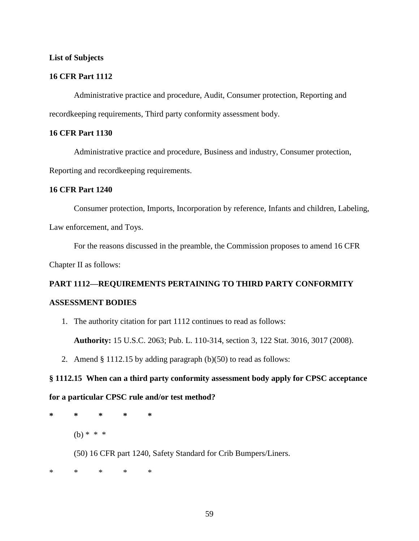## **List of Subjects**

# **16 CFR Part 1112**

Administrative practice and procedure, Audit, Consumer protection, Reporting and recordkeeping requirements, Third party conformity assessment body.

# **16 CFR Part 1130**

Administrative practice and procedure, Business and industry, Consumer protection,

Reporting and recordkeeping requirements.

## **16 CFR Part 1240**

Consumer protection, Imports, Incorporation by reference, Infants and children, Labeling, Law enforcement, and Toys.

For the reasons discussed in the preamble, the Commission proposes to amend 16 CFR Chapter II as follows:

# **PART 1112—REQUIREMENTS PERTAINING TO THIRD PARTY CONFORMITY ASSESSMENT BODIES**

1. The authority citation for part 1112 continues to read as follows:

**Authority:** 15 U.S.C. 2063; Pub. L. 110-314, section 3, 122 Stat. 3016, 3017 (2008).

2. Amend  $\S 1112.15$  by adding paragraph (b)(50) to read as follows:

# **§ 1112.15 When can a third party conformity assessment body apply for CPSC acceptance**

## **for a particular CPSC rule and/or test method?**

**\* \* \* \* \***  $(b) * * * *$ (50) 16 CFR part 1240, Safety Standard for Crib Bumpers/Liners.

\* \* \* \* \*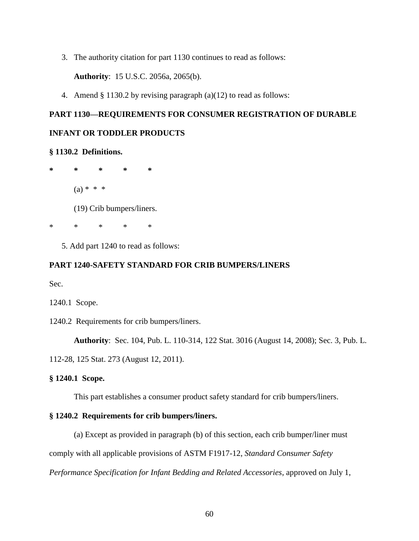3. The authority citation for part 1130 continues to read as follows:

**Authority**: 15 U.S.C. 2056a, 2065(b).

4. Amend § 1130.2 by revising paragraph (a)(12) to read as follows:

# **PART 1130—REQUIREMENTS FOR CONSUMER REGISTRATION OF DURABLE**

# **INFANT OR TODDLER PRODUCTS**

#### **§ 1130.2 Definitions.**

**\* \* \* \* \***  $(a) * * * *$ (19) Crib bumpers/liners.

\* \* \* \* \*

5. Add part 1240 to read as follows:

### **PART 1240-SAFETY STANDARD FOR CRIB BUMPERS/LINERS**

Sec.

1240.1 Scope.

1240.2 Requirements for crib bumpers/liners.

**Authority**: Sec. 104, Pub. L. 110-314, 122 Stat. 3016 (August 14, 2008); Sec. 3, Pub. L.

112-28, 125 Stat. 273 (August 12, 2011).

## **§ 1240.1 Scope.**

This part establishes a consumer product safety standard for crib bumpers/liners.

## **§ 1240.2 Requirements for crib bumpers/liners.**

(a) Except as provided in paragraph (b) of this section, each crib bumper/liner must

comply with all applicable provisions of ASTM F1917-12, *Standard Consumer Safety* 

*Performance Specification for Infant Bedding and Related Accessories*, approved on July 1,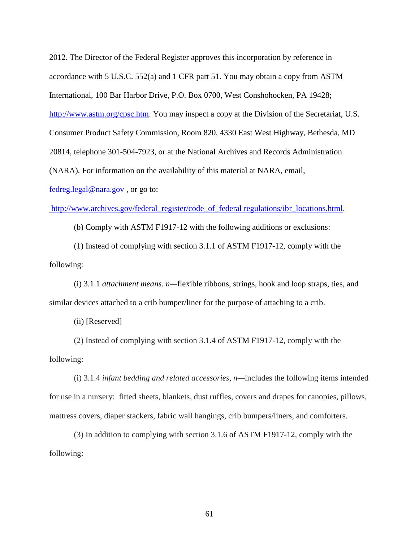2012. The Director of the Federal Register approves this incorporation by reference in accordance with 5 U.S.C. 552(a) and 1 CFR part 51. You may obtain a copy from ASTM International, 100 Bar Harbor Drive, P.O. Box 0700, West Conshohocken, PA 19428; [http://www.astm.org/cpsc.htm.](http://www.astm.org/cpsc.htm) You may inspect a copy at the Division of the Secretariat, U.S. Consumer Product Safety Commission, Room 820, 4330 East West Highway, Bethesda, MD 20814, telephone 301-504-7923, or at the National Archives and Records Administration (NARA). For information on the availability of this material at NARA, email,

[fedreg.legal@nara.gov](mailto:fedreg.legal@nara.gov) , or go to:

[http://www.archives.gov/federal\\_register/code\\_of\\_federal regulations/ibr\\_locations.html.](http://www.archives.gov/federal_register/code_of_federal%20regulations/ibr_locations.html)

(b) Comply with ASTM F1917-12 with the following additions or exclusions:

(1) Instead of complying with section 3.1.1 of ASTM F1917-12, comply with the following:

(i) 3.1.1 *attachment means. n—*flexible ribbons, strings, hook and loop straps, ties, and similar devices attached to a crib bumper/liner for the purpose of attaching to a crib.

(ii) [Reserved]

(2) Instead of complying with section 3.1.4 of ASTM F1917-12, comply with the following:

(i) 3.1.4 *infant bedding and related accessories, n—*includes the following items intended for use in a nursery: fitted sheets, blankets, dust ruffles, covers and drapes for canopies, pillows, mattress covers, diaper stackers, fabric wall hangings, crib bumpers/liners, and comforters.

(3) In addition to complying with section 3.1.6 of ASTM F1917-12, comply with the following: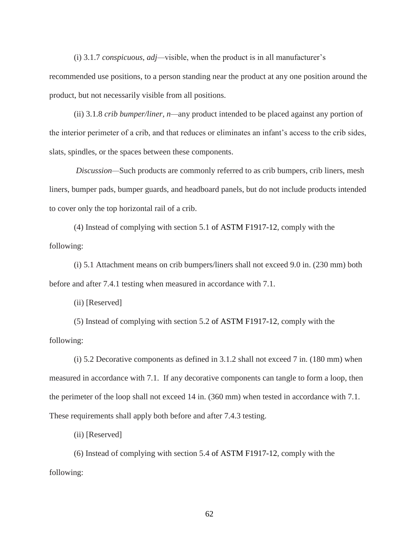(i) 3.1.7 *conspicuous, adj—*visible, when the product is in all manufacturer's recommended use positions, to a person standing near the product at any one position around the product, but not necessarily visible from all positions.

(ii) 3.1.8 *crib bumper/liner, n—*any product intended to be placed against any portion of the interior perimeter of a crib, and that reduces or eliminates an infant's access to the crib sides, slats, spindles, or the spaces between these components.

*Discussion—*Such products are commonly referred to as crib bumpers, crib liners, mesh liners, bumper pads, bumper guards, and headboard panels, but do not include products intended to cover only the top horizontal rail of a crib.

(4) Instead of complying with section 5.1 of ASTM F1917-12, comply with the following:

(i) 5.1 Attachment means on crib bumpers/liners shall not exceed 9.0 in. (230 mm) both before and after 7.4.1 testing when measured in accordance with 7.1.

(ii) [Reserved]

(5) Instead of complying with section 5.2 of ASTM F1917-12, comply with the following:

(i) 5.2 Decorative components as defined in 3.1.2 shall not exceed 7 in. (180 mm) when measured in accordance with 7.1. If any decorative components can tangle to form a loop, then the perimeter of the loop shall not exceed 14 in. (360 mm) when tested in accordance with 7.1. These requirements shall apply both before and after 7.4.3 testing.

(ii) [Reserved]

(6) Instead of complying with section 5.4 of ASTM F1917-12, comply with the following: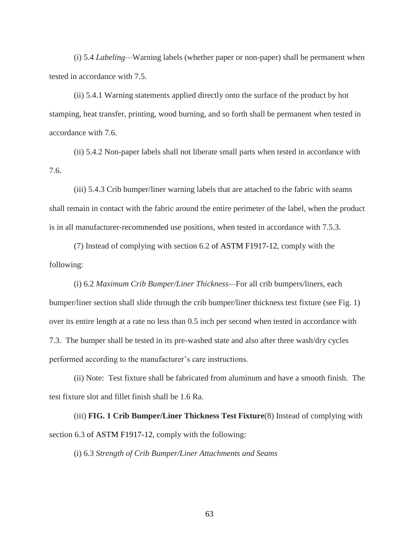(i) 5.4 *Labeling—*Warning labels (whether paper or non-paper) shall be permanent when tested in accordance with 7.5.

(ii) 5.4.1 Warning statements applied directly onto the surface of the product by hot stamping, heat transfer, printing, wood burning, and so forth shall be permanent when tested in accordance with 7.6.

(ii) 5.4.2 Non-paper labels shall not liberate small parts when tested in accordance with 7.6.

(iii) 5.4.3 Crib bumper/liner warning labels that are attached to the fabric with seams shall remain in contact with the fabric around the entire perimeter of the label, when the product is in all manufacturer-recommended use positions, when tested in accordance with 7.5.3.

(7) Instead of complying with section 6.2 of ASTM F1917-12, comply with the following:

(i) 6.2 *Maximum Crib Bumper/Liner Thickness—*For all crib bumpers/liners, each bumper/liner section shall slide through the crib bumper/liner thickness test fixture (see Fig. 1) over its entire length at a rate no less than 0.5 inch per second when tested in accordance with 7.3. The bumper shall be tested in its pre-washed state and also after three wash/dry cycles performed according to the manufacturer's care instructions.

(ii) Note: Test fixture shall be fabricated from aluminum and have a smooth finish. The test fixture slot and fillet finish shall be 1.6 Ra.

(iii) **FIG. 1 Crib Bumper/Liner Thickness Test Fixture**(8) Instead of complying with section 6.3 of ASTM F1917-12, comply with the following:

(i) 6.3 *Strength of Crib Bumper/Liner Attachments and Seams*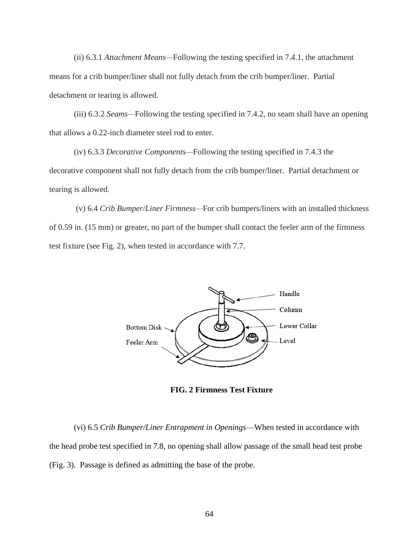(ii) 6.3.1 *Attachment Means—*Following the testing specified in 7.4.1, the attachment means for a crib bumper/liner shall not fully detach from the crib bumper/liner. Partial detachment or tearing is allowed.

(iii) 6.3.2 *Seams—*Following the testing specified in 7.4.2, no seam shall have an opening that allows a 0.22-inch diameter steel rod to enter.

(iv) 6.3.3 *Decorative Components—*Following the testing specified in 7.4.3 the decorative component shall not fully detach from the crib bumper/liner. Partial detachment or tearing is allowed.

(v) 6.4 *Crib Bumper/Liner Firmness—*For crib bumpers/liners with an installed thickness of 0.59 in. (15 mm) or greater, no part of the bumper shall contact the feeler arm of the firmness test fixture (see Fig. 2), when tested in accordance with 7.7.



**FIG. 2 Firmness Test Fixture**

(vi) 6.5 *Crib Bumper/Liner Entrapment in Openings*—When tested in accordance with the head probe test specified in 7.8, no opening shall allow passage of the small head test probe (Fig. 3). Passage is defined as admitting the base of the probe.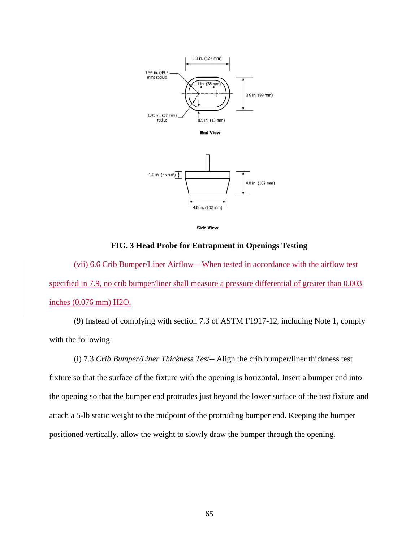

**Side View** 

4.0 in. (102 mm)

## **FIG. 3 Head Probe for Entrapment in Openings Testing**

(vii) 6.6 Crib Bumper/Liner Airflow—When tested in accordance with the airflow test specified in 7.9, no crib bumper/liner shall measure a pressure differential of greater than 0.003 inches (0.076 mm) H2O.

(9) Instead of complying with section 7.3 of ASTM F1917-12, including Note 1, comply with the following:

(i) 7.3 *Crib Bumper/Liner Thickness Test--* Align the crib bumper/liner thickness test fixture so that the surface of the fixture with the opening is horizontal. Insert a bumper end into the opening so that the bumper end protrudes just beyond the lower surface of the test fixture and attach a 5-lb static weight to the midpoint of the protruding bumper end. Keeping the bumper positioned vertically, allow the weight to slowly draw the bumper through the opening.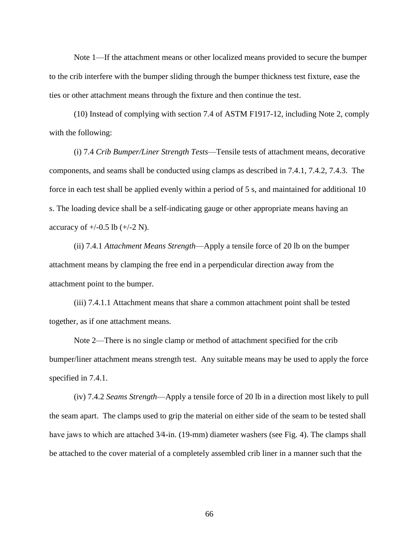Note 1—If the attachment means or other localized means provided to secure the bumper to the crib interfere with the bumper sliding through the bumper thickness test fixture, ease the ties or other attachment means through the fixture and then continue the test.

(10) Instead of complying with section 7.4 of ASTM F1917-12, including Note 2, comply with the following:

(i) 7.4 *Crib Bumper/Liner Strength Tests*—Tensile tests of attachment means, decorative components, and seams shall be conducted using clamps as described in 7.4.1, 7.4.2, 7.4.3. The force in each test shall be applied evenly within a period of 5 s, and maintained for additional 10 s. The loading device shall be a self-indicating gauge or other appropriate means having an accuracy of  $+/-0.5$  lb  $(+/-2)$  N).

(ii) 7.4.1 *Attachment Means Strength*—Apply a tensile force of 20 lb on the bumper attachment means by clamping the free end in a perpendicular direction away from the attachment point to the bumper.

(iii) 7.4.1.1 Attachment means that share a common attachment point shall be tested together, as if one attachment means.

Note 2—There is no single clamp or method of attachment specified for the crib bumper/liner attachment means strength test. Any suitable means may be used to apply the force specified in 7.4.1.

(iv) 7.4.2 *Seams Strength*—Apply a tensile force of 20 lb in a direction most likely to pull the seam apart. The clamps used to grip the material on either side of the seam to be tested shall have jaws to which are attached 3/4-in. (19-mm) diameter washers (see Fig. 4). The clamps shall be attached to the cover material of a completely assembled crib liner in a manner such that the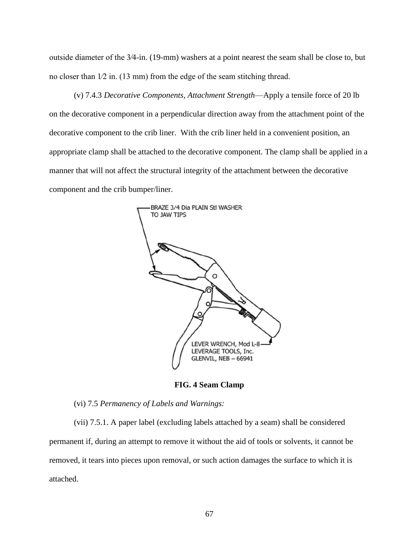outside diameter of the 3⁄4-in. (19-mm) washers at a point nearest the seam shall be close to, but no closer than 1⁄2 in. (13 mm) from the edge of the seam stitching thread.

(v) 7.4.3 *Decorative Components, Attachment Strength*—Apply a tensile force of 20 lb on the decorative component in a perpendicular direction away from the attachment point of the decorative component to the crib liner. With the crib liner held in a convenient position, an appropriate clamp shall be attached to the decorative component. The clamp shall be applied in a manner that will not affect the structural integrity of the attachment between the decorative component and the crib bumper/liner.



**FIG. 4 Seam Clamp**

(vi) 7.5 *Permanency of Labels and Warnings:*

(vii) 7.5.1. A paper label (excluding labels attached by a seam) shall be considered permanent if, during an attempt to remove it without the aid of tools or solvents, it cannot be removed, it tears into pieces upon removal, or such action damages the surface to which it is attached.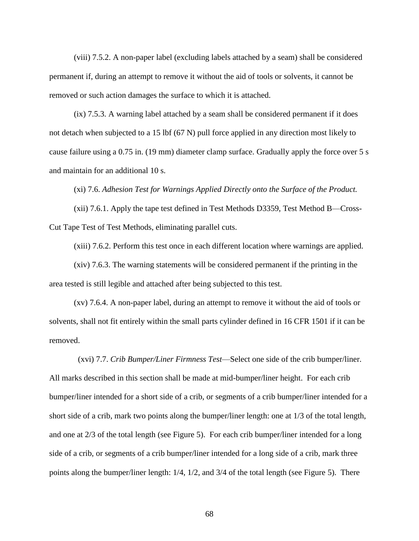(viii) 7.5.2. A non-paper label (excluding labels attached by a seam) shall be considered permanent if, during an attempt to remove it without the aid of tools or solvents, it cannot be removed or such action damages the surface to which it is attached.

(ix) 7.5.3. A warning label attached by a seam shall be considered permanent if it does not detach when subjected to a 15 lbf (67 N) pull force applied in any direction most likely to cause failure using a 0.75 in. (19 mm) diameter clamp surface. Gradually apply the force over 5 s and maintain for an additional 10 s.

(xi) 7.6. *Adhesion Test for Warnings Applied Directly onto the Surface of the Product.* 

(xii) 7.6.1. Apply the tape test defined in Test Methods D3359, Test Method B—Cross-Cut Tape Test of Test Methods, eliminating parallel cuts.

(xiii) 7.6.2. Perform this test once in each different location where warnings are applied.

(xiv) 7.6.3. The warning statements will be considered permanent if the printing in the area tested is still legible and attached after being subjected to this test.

(xv) 7.6.4. A non-paper label, during an attempt to remove it without the aid of tools or solvents, shall not fit entirely within the small parts cylinder defined in 16 CFR 1501 if it can be removed.

 (xvi) 7.7. *Crib Bumper/Liner Firmness Test*—Select one side of the crib bumper/liner. All marks described in this section shall be made at mid-bumper/liner height. For each crib bumper/liner intended for a short side of a crib, or segments of a crib bumper/liner intended for a short side of a crib, mark two points along the bumper/liner length: one at 1/3 of the total length, and one at 2/3 of the total length (see Figure 5). For each crib bumper/liner intended for a long side of a crib, or segments of a crib bumper/liner intended for a long side of a crib, mark three points along the bumper/liner length: 1/4, 1/2, and 3/4 of the total length (see Figure 5). There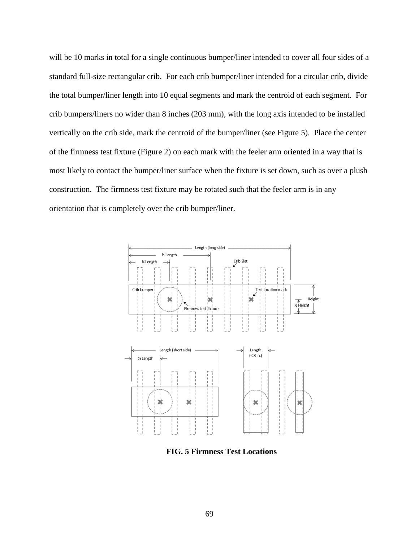will be 10 marks in total for a single continuous bumper/liner intended to cover all four sides of a standard full-size rectangular crib. For each crib bumper/liner intended for a circular crib, divide the total bumper/liner length into 10 equal segments and mark the centroid of each segment. For crib bumpers/liners no wider than 8 inches (203 mm), with the long axis intended to be installed vertically on the crib side, mark the centroid of the bumper/liner (see Figure 5). Place the center of the firmness test fixture (Figure 2) on each mark with the feeler arm oriented in a way that is most likely to contact the bumper/liner surface when the fixture is set down, such as over a plush construction. The firmness test fixture may be rotated such that the feeler arm is in any orientation that is completely over the crib bumper/liner.



**FIG. 5 Firmness Test Locations**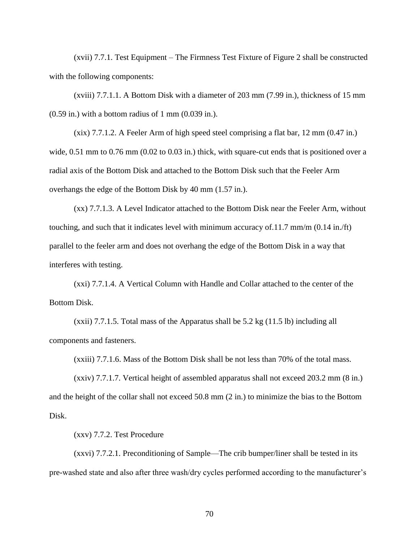(xvii) 7.7.1. Test Equipment – The Firmness Test Fixture of Figure 2 shall be constructed with the following components:

(xviii) 7.7.1.1. A Bottom Disk with a diameter of 203 mm (7.99 in.), thickness of 15 mm  $(0.59 \text{ in.})$  with a bottom radius of 1 mm  $(0.039 \text{ in.})$ .

 $(xix)$  7.7.1.2. A Feeler Arm of high speed steel comprising a flat bar, 12 mm  $(0.47 \text{ in.})$ wide,  $0.51$  mm to  $0.76$  mm  $(0.02$  to  $0.03$  in.) thick, with square-cut ends that is positioned over a radial axis of the Bottom Disk and attached to the Bottom Disk such that the Feeler Arm overhangs the edge of the Bottom Disk by 40 mm (1.57 in.).

(xx) 7.7.1.3. A Level Indicator attached to the Bottom Disk near the Feeler Arm, without touching, and such that it indicates level with minimum accuracy of.11.7 mm/m (0.14 in./ft) parallel to the feeler arm and does not overhang the edge of the Bottom Disk in a way that interferes with testing.

(xxi) 7.7.1.4. A Vertical Column with Handle and Collar attached to the center of the Bottom Disk.

(xxii) 7.7.1.5. Total mass of the Apparatus shall be 5.2 kg (11.5 lb) including all components and fasteners.

(xxiii) 7.7.1.6. Mass of the Bottom Disk shall be not less than 70% of the total mass.

(xxiv) 7.7.1.7. Vertical height of assembled apparatus shall not exceed 203.2 mm (8 in.) and the height of the collar shall not exceed 50.8 mm (2 in.) to minimize the bias to the Bottom Disk.

(xxv) 7.7.2. Test Procedure

(xxvi) 7.7.2.1. Preconditioning of Sample—The crib bumper/liner shall be tested in its pre-washed state and also after three wash/dry cycles performed according to the manufacturer's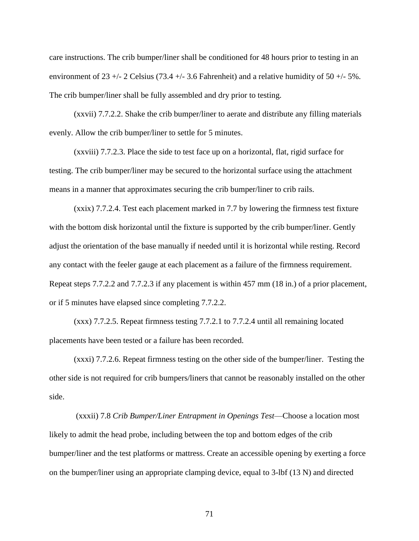care instructions. The crib bumper/liner shall be conditioned for 48 hours prior to testing in an environment of  $23 +1$  - 2 Celsius (73.4 + $-$  3.6 Fahrenheit) and a relative humidity of 50 + $-$  5%. The crib bumper/liner shall be fully assembled and dry prior to testing.

(xxvii) 7.7.2.2. Shake the crib bumper/liner to aerate and distribute any filling materials evenly. Allow the crib bumper/liner to settle for 5 minutes.

(xxviii) 7.7.2.3. Place the side to test face up on a horizontal, flat, rigid surface for testing. The crib bumper/liner may be secured to the horizontal surface using the attachment means in a manner that approximates securing the crib bumper/liner to crib rails.

(xxix) 7.7.2.4. Test each placement marked in 7.7 by lowering the firmness test fixture with the bottom disk horizontal until the fixture is supported by the crib bumper/liner. Gently adjust the orientation of the base manually if needed until it is horizontal while resting. Record any contact with the feeler gauge at each placement as a failure of the firmness requirement. Repeat steps 7.7.2.2 and 7.7.2.3 if any placement is within 457 mm (18 in.) of a prior placement, or if 5 minutes have elapsed since completing 7.7.2.2.

(xxx) 7.7.2.5. Repeat firmness testing 7.7.2.1 to 7.7.2.4 until all remaining located placements have been tested or a failure has been recorded.

(xxxi) 7.7.2.6. Repeat firmness testing on the other side of the bumper/liner. Testing the other side is not required for crib bumpers/liners that cannot be reasonably installed on the other side.

(xxxii) 7.8 *Crib Bumper/Liner Entrapment in Openings Test*—Choose a location most likely to admit the head probe, including between the top and bottom edges of the crib bumper/liner and the test platforms or mattress. Create an accessible opening by exerting a force on the bumper/liner using an appropriate clamping device, equal to 3-lbf (13 N) and directed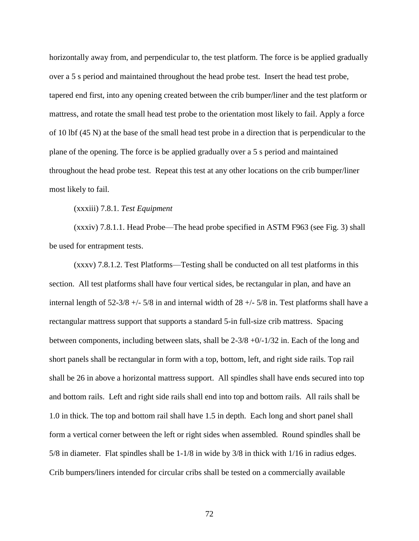horizontally away from, and perpendicular to, the test platform. The force is be applied gradually over a 5 s period and maintained throughout the head probe test. Insert the head test probe, tapered end first, into any opening created between the crib bumper/liner and the test platform or mattress, and rotate the small head test probe to the orientation most likely to fail. Apply a force of 10 lbf (45 N) at the base of the small head test probe in a direction that is perpendicular to the plane of the opening. The force is be applied gradually over a 5 s period and maintained throughout the head probe test. Repeat this test at any other locations on the crib bumper/liner most likely to fail.

## (xxxiii) 7.8.1. *Test Equipment*

(xxxiv) 7.8.1.1. Head Probe—The head probe specified in ASTM F963 (see Fig. 3) shall be used for entrapment tests.

(xxxv) 7.8.1.2. Test Platforms—Testing shall be conducted on all test platforms in this section. All test platforms shall have four vertical sides, be rectangular in plan, and have an internal length of  $52-3/8 +1/5/8$  in and internal width of  $28 +1/5/8$  in. Test platforms shall have a rectangular mattress support that supports a standard 5-in full-size crib mattress. Spacing between components, including between slats, shall be  $2-3/8 + 0/1/32$  in. Each of the long and short panels shall be rectangular in form with a top, bottom, left, and right side rails. Top rail shall be 26 in above a horizontal mattress support. All spindles shall have ends secured into top and bottom rails. Left and right side rails shall end into top and bottom rails. All rails shall be 1.0 in thick. The top and bottom rail shall have 1.5 in depth. Each long and short panel shall form a vertical corner between the left or right sides when assembled. Round spindles shall be 5/8 in diameter. Flat spindles shall be 1-1/8 in wide by 3/8 in thick with 1/16 in radius edges. Crib bumpers/liners intended for circular cribs shall be tested on a commercially available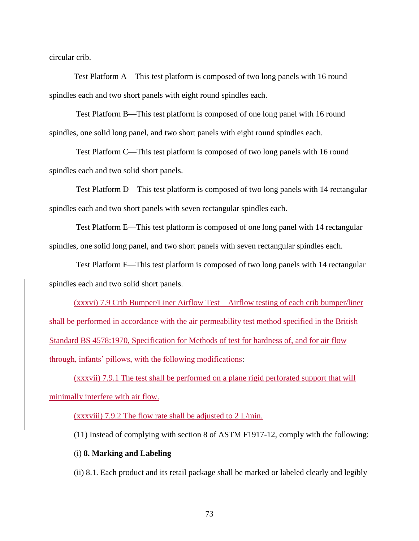circular crib.

Test Platform A—This test platform is composed of two long panels with 16 round spindles each and two short panels with eight round spindles each.

Test Platform B—This test platform is composed of one long panel with 16 round spindles, one solid long panel, and two short panels with eight round spindles each.

Test Platform C—This test platform is composed of two long panels with 16 round spindles each and two solid short panels.

Test Platform D—This test platform is composed of two long panels with 14 rectangular spindles each and two short panels with seven rectangular spindles each.

Test Platform E—This test platform is composed of one long panel with 14 rectangular spindles, one solid long panel, and two short panels with seven rectangular spindles each.

Test Platform F—This test platform is composed of two long panels with 14 rectangular spindles each and two solid short panels.

(xxxvi) 7.9 Crib Bumper/Liner Airflow Test—Airflow testing of each crib bumper/liner shall be performed in accordance with the air permeability test method specified in the British Standard BS 4578:1970, Specification for Methods of test for hardness of, and for air flow through, infants' pillows, with the following modifications:

(xxxvii) 7.9.1 The test shall be performed on a plane rigid perforated support that will minimally interfere with air flow.

(xxxviii) 7.9.2 The flow rate shall be adjusted to 2 L/min.

(11) Instead of complying with section 8 of ASTM F1917-12, comply with the following:

## (i) **8. Marking and Labeling**

(ii) 8.1. Each product and its retail package shall be marked or labeled clearly and legibly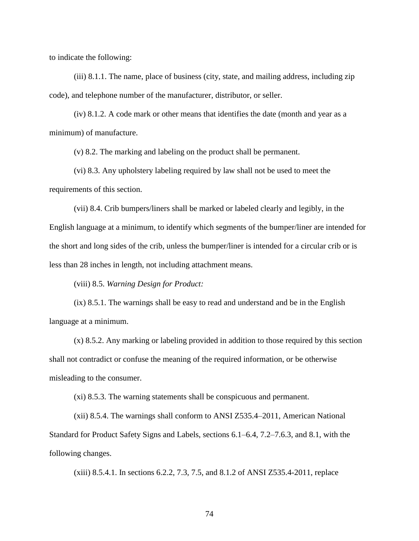to indicate the following:

(iii) 8.1.1. The name, place of business (city, state, and mailing address, including zip code), and telephone number of the manufacturer, distributor, or seller.

(iv) 8.1.2. A code mark or other means that identifies the date (month and year as a minimum) of manufacture.

(v) 8.2. The marking and labeling on the product shall be permanent.

(vi) 8.3. Any upholstery labeling required by law shall not be used to meet the requirements of this section.

(vii) 8.4. Crib bumpers/liners shall be marked or labeled clearly and legibly, in the English language at a minimum, to identify which segments of the bumper/liner are intended for the short and long sides of the crib, unless the bumper/liner is intended for a circular crib or is less than 28 inches in length, not including attachment means.

(viii) 8.5. *Warning Design for Product:* 

(ix) 8.5.1. The warnings shall be easy to read and understand and be in the English language at a minimum.

(x) 8.5.2. Any marking or labeling provided in addition to those required by this section shall not contradict or confuse the meaning of the required information, or be otherwise misleading to the consumer.

(xi) 8.5.3. The warning statements shall be conspicuous and permanent.

(xii) 8.5.4. The warnings shall conform to ANSI Z535.4–2011, American National Standard for Product Safety Signs and Labels, sections 6.1–6.4, 7.2–7.6.3, and 8.1, with the following changes.

(xiii) 8.5.4.1. In sections 6.2.2, 7.3, 7.5, and 8.1.2 of ANSI Z535.4-2011, replace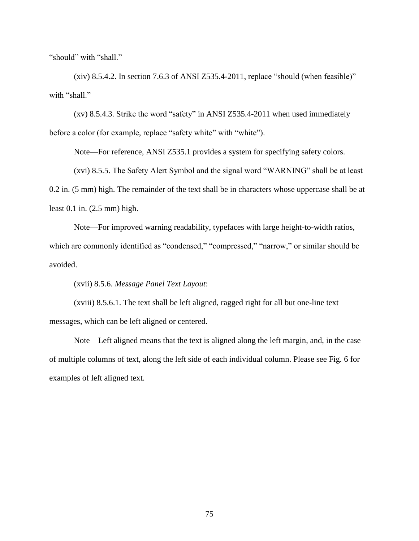"should" with "shall."

 $(xiv)$  8.5.4.2. In section 7.6.3 of ANSI Z535.4-2011, replace "should (when feasible)" with "shall."

(xv) 8.5.4.3. Strike the word "safety" in ANSI Z535.4-2011 when used immediately before a color (for example, replace "safety white" with "white").

Note—For reference, ANSI Z535.1 provides a system for specifying safety colors.

(xvi) 8.5.5. The Safety Alert Symbol and the signal word "WARNING" shall be at least 0.2 in. (5 mm) high. The remainder of the text shall be in characters whose uppercase shall be at least 0.1 in. (2.5 mm) high.

Note—For improved warning readability, typefaces with large height-to-width ratios, which are commonly identified as "condensed," "compressed," "narrow," or similar should be avoided.

(xvii) 8.5.6. *Message Panel Text Layout*:

(xviii) 8.5.6.1. The text shall be left aligned, ragged right for all but one-line text messages, which can be left aligned or centered.

Note—Left aligned means that the text is aligned along the left margin, and, in the case of multiple columns of text, along the left side of each individual column. Please see Fig. 6 for examples of left aligned text.

75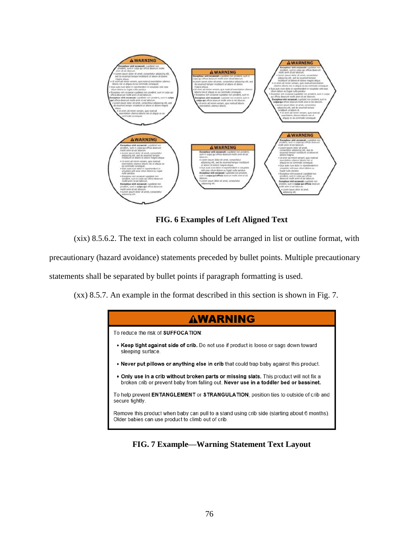

**FIG. 6 Examples of Left Aligned Text** 

(xix) 8.5.6.2. The text in each column should be arranged in list or outline format, with

precautionary (hazard avoidance) statements preceded by bullet points. Multiple precautionary

statements shall be separated by bullet points if paragraph formatting is used.

(xx) 8.5.7. An example in the format described in this section is shown in Fig. 7.



**FIG. 7 Example—Warning Statement Text Layout**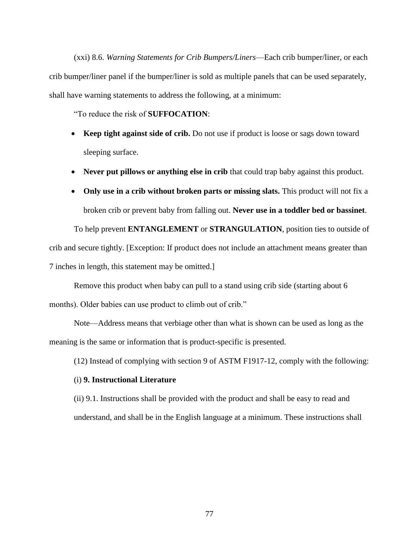(xxi) 8.6. *Warning Statements for Crib Bumpers/Liners*—Each crib bumper/liner, or each crib bumper/liner panel if the bumper/liner is sold as multiple panels that can be used separately, shall have warning statements to address the following, at a minimum:

"To reduce the risk of **SUFFOCATION**:

- **Keep tight against side of crib.** Do not use if product is loose or sags down toward sleeping surface.
- Never put pillows or anything else in crib that could trap baby against this product.
- **Only use in a crib without broken parts or missing slats.** This product will not fix a broken crib or prevent baby from falling out. **Never use in a toddler bed or bassinet**.

To help prevent **ENTANGLEMENT** or **STRANGULATION**, position ties to outside of crib and secure tightly. [Exception: If product does not include an attachment means greater than 7 inches in length, this statement may be omitted.]

Remove this product when baby can pull to a stand using crib side (starting about 6 months). Older babies can use product to climb out of crib."

Note—Address means that verbiage other than what is shown can be used as long as the meaning is the same or information that is product-specific is presented.

(12) Instead of complying with section 9 of ASTM F1917-12, comply with the following:

## (i) **9. Instructional Literature**

(ii) 9.1. Instructions shall be provided with the product and shall be easy to read and understand, and shall be in the English language at a minimum. These instructions shall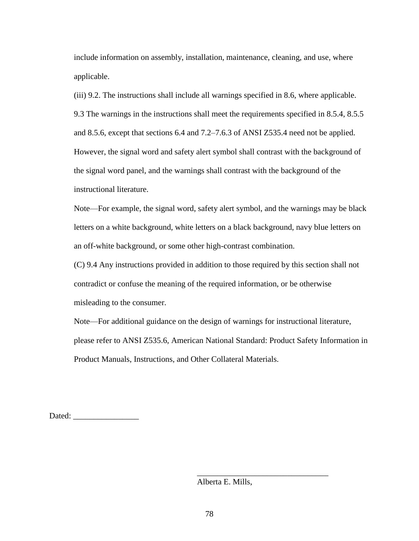include information on assembly, installation, maintenance, cleaning, and use, where applicable.

(iii) 9.2. The instructions shall include all warnings specified in 8.6, where applicable. 9.3 The warnings in the instructions shall meet the requirements specified in 8.5.4, 8.5.5 and 8.5.6, except that sections 6.4 and 7.2–7.6.3 of ANSI Z535.4 need not be applied. However, the signal word and safety alert symbol shall contrast with the background of the signal word panel, and the warnings shall contrast with the background of the instructional literature.

Note—For example, the signal word, safety alert symbol, and the warnings may be black letters on a white background, white letters on a black background, navy blue letters on an off-white background, or some other high-contrast combination.

(C) 9.4 Any instructions provided in addition to those required by this section shall not contradict or confuse the meaning of the required information, or be otherwise misleading to the consumer.

Note—For additional guidance on the design of warnings for instructional literature, please refer to ANSI Z535.6, American National Standard: Product Safety Information in Product Manuals, Instructions, and Other Collateral Materials.

Dated:

Alberta E. Mills,

\_\_\_\_\_\_\_\_\_\_\_\_\_\_\_\_\_\_\_\_\_\_\_\_\_\_\_\_\_\_\_\_